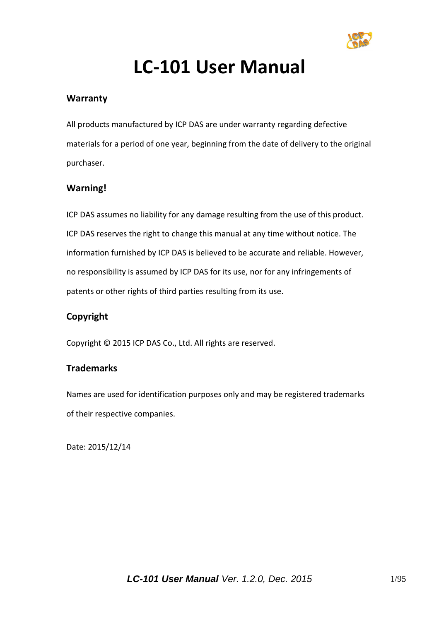

# **LC-101 User Manual**

### **Warranty**

All products manufactured by ICP DAS are under warranty regarding defective materials for a period of one year, beginning from the date of delivery to the original purchaser.

### **Warning!**

ICP DAS assumes no liability for any damage resulting from the use of this product. ICP DAS reserves the right to change this manual at any time without notice. The information furnished by ICP DAS is believed to be accurate and reliable. However, no responsibility is assumed by ICP DAS for its use, nor for any infringements of patents or other rights of third parties resulting from its use.

### **Copyright**

Copyright © 2015 ICP DAS Co., Ltd. All rights are reserved.

### **Trademarks**

Names are used for identification purposes only and may be registered trademarks of their respective companies.

Date: 2015/12/14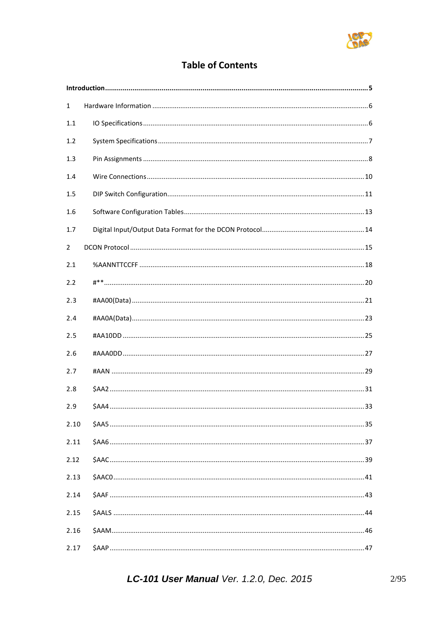

### **Table of Contents**

| 1    |  |
|------|--|
| 1.1  |  |
| 1.2  |  |
| 1.3  |  |
| 1.4  |  |
| 1.5  |  |
| 1.6  |  |
| 1.7  |  |
| 2    |  |
| 2.1  |  |
| 2.2  |  |
| 2.3  |  |
| 2.4  |  |
| 2.5  |  |
| 2.6  |  |
| 2.7  |  |
| 2.8  |  |
| 2.9  |  |
| 2.10 |  |
| 2.11 |  |
| 2.12 |  |
| 2.13 |  |
| 2.14 |  |
| 2.15 |  |
| 2.16 |  |
| 2.17 |  |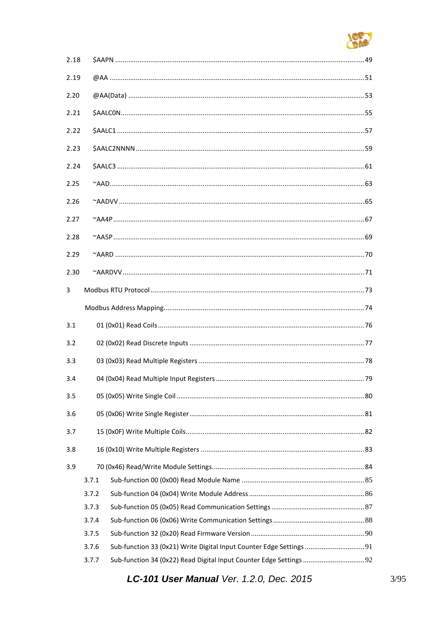

| 2.18 |       |                                                                      |  |
|------|-------|----------------------------------------------------------------------|--|
| 2.19 |       |                                                                      |  |
| 2.20 |       |                                                                      |  |
| 2.21 |       |                                                                      |  |
| 2.22 |       |                                                                      |  |
| 2.23 |       |                                                                      |  |
| 2.24 |       |                                                                      |  |
| 2.25 |       |                                                                      |  |
| 2.26 |       |                                                                      |  |
| 2.27 |       |                                                                      |  |
| 2.28 |       |                                                                      |  |
| 2.29 |       |                                                                      |  |
| 2.30 |       |                                                                      |  |
| 3    |       |                                                                      |  |
|      |       |                                                                      |  |
| 3.1  |       |                                                                      |  |
| 3.2  |       |                                                                      |  |
| 3.3  |       |                                                                      |  |
|      |       |                                                                      |  |
| 3.4  |       |                                                                      |  |
| 3.5  |       |                                                                      |  |
| 3.6  |       |                                                                      |  |
| 3.7  |       |                                                                      |  |
| 3.8  |       |                                                                      |  |
| 3.9  |       |                                                                      |  |
|      | 3.7.1 |                                                                      |  |
|      | 3.7.2 |                                                                      |  |
|      | 3.7.3 |                                                                      |  |
|      | 3.7.4 |                                                                      |  |
|      | 3.7.5 |                                                                      |  |
|      | 3.7.6 | Sub-function 33 (0x21) Write Digital Input Counter Edge Settings  91 |  |
|      | 3.7.7 | Sub-function 34 (0x22) Read Digital Input Counter Edge Settings 92   |  |
|      |       |                                                                      |  |

LC-101 User Manual Ver. 1.2.0, Dec. 2015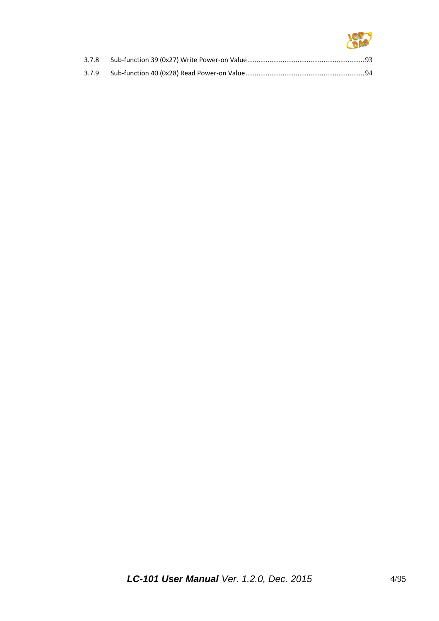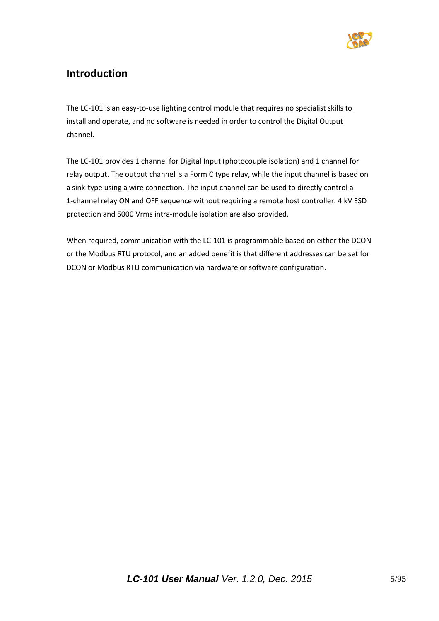

### **Introduction**

The LC-101 is an easy-to-use lighting control module that requires no specialist skills to install and operate, and no software is needed in order to control the Digital Output channel.

The LC-101 provides 1 channel for Digital Input (photocouple isolation) and 1 channel for relay output. The output channel is a Form C type relay, while the input channel is based on a sink-type using a wire connection. The input channel can be used to directly control a 1-channel relay ON and OFF sequence without requiring a remote host controller. 4 kV ESD protection and 5000 Vrms intra-module isolation are also provided.

When required, communication with the LC-101 is programmable based on either the DCON or the Modbus RTU protocol, and an added benefit is that different addresses can be set for DCON or Modbus RTU communication via hardware or software configuration.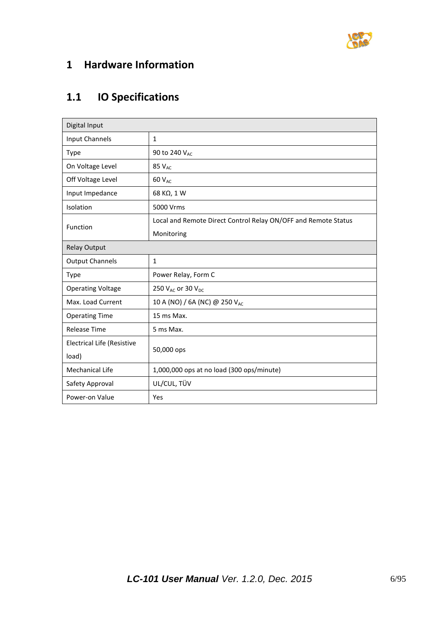

## **1 Hardware Information**

## **1.1 IO Specifications**

| Digital Input              |                                                                |  |  |
|----------------------------|----------------------------------------------------------------|--|--|
| Input Channels             | $\mathbf{1}$                                                   |  |  |
| Type                       | 90 to 240 VAC                                                  |  |  |
| On Voltage Level           | 85 V <sub>AC</sub>                                             |  |  |
| Off Voltage Level          | $60V_{AC}$                                                     |  |  |
| Input Impedance            | 68 KΩ, 1 W                                                     |  |  |
| Isolation                  | 5000 Vrms                                                      |  |  |
| Function                   | Local and Remote Direct Control Relay ON/OFF and Remote Status |  |  |
|                            | Monitoring                                                     |  |  |
| <b>Relay Output</b>        |                                                                |  |  |
| <b>Output Channels</b>     | $\mathbf{1}$                                                   |  |  |
| Type                       | Power Relay, Form C                                            |  |  |
| <b>Operating Voltage</b>   | 250 V <sub>AC</sub> or 30 V <sub>DC</sub>                      |  |  |
| Max. Load Current          | 10 A (NO) / 6A (NC) @ 250 VAC                                  |  |  |
| <b>Operating Time</b>      | 15 ms Max.                                                     |  |  |
| Release Time               | 5 ms Max.                                                      |  |  |
| Electrical Life (Resistive | 50,000 ops                                                     |  |  |
| load)                      |                                                                |  |  |
| Mechanical Life            | 1,000,000 ops at no load (300 ops/minute)                      |  |  |
| Safety Approval            | UL/CUL, TÜV                                                    |  |  |
| Power-on Value             | Yes                                                            |  |  |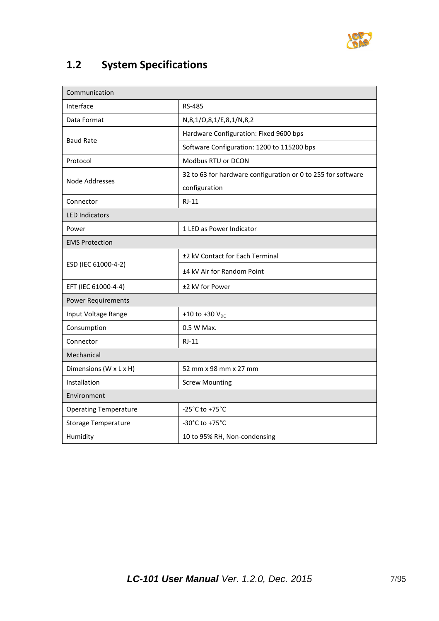

## **1.2 System Specifications**

| Communication                |                                                              |  |  |  |  |
|------------------------------|--------------------------------------------------------------|--|--|--|--|
| Interface                    | <b>RS-485</b>                                                |  |  |  |  |
| Data Format                  | N,8,1/O,8,1/E,8,1/N,8,2                                      |  |  |  |  |
|                              | Hardware Configuration: Fixed 9600 bps                       |  |  |  |  |
| <b>Baud Rate</b>             | Software Configuration: 1200 to 115200 bps                   |  |  |  |  |
| Protocol                     | Modbus RTU or DCON                                           |  |  |  |  |
|                              | 32 to 63 for hardware configuration or 0 to 255 for software |  |  |  |  |
| Node Addresses               | configuration                                                |  |  |  |  |
| Connector                    | $RJ-11$                                                      |  |  |  |  |
| <b>LED Indicators</b>        |                                                              |  |  |  |  |
| Power                        | 1 LED as Power Indicator                                     |  |  |  |  |
| <b>EMS Protection</b>        |                                                              |  |  |  |  |
|                              | ±2 kV Contact for Each Terminal                              |  |  |  |  |
| ESD (IEC 61000-4-2)          | ±4 kV Air for Random Point                                   |  |  |  |  |
| EFT (IEC 61000-4-4)          | ±2 kV for Power                                              |  |  |  |  |
| <b>Power Requirements</b>    |                                                              |  |  |  |  |
| Input Voltage Range          | +10 to +30 $V_{DC}$                                          |  |  |  |  |
| Consumption                  | 0.5 W Max.                                                   |  |  |  |  |
| Connector                    | $RJ-11$                                                      |  |  |  |  |
| Mechanical                   |                                                              |  |  |  |  |
| Dimensions (W x L x H)       | 52 mm x 98 mm x 27 mm                                        |  |  |  |  |
| Installation                 | <b>Screw Mounting</b>                                        |  |  |  |  |
| Environment                  |                                                              |  |  |  |  |
| <b>Operating Temperature</b> | -25°C to +75°C                                               |  |  |  |  |
| <b>Storage Temperature</b>   | $-30^{\circ}$ C to $+75^{\circ}$ C                           |  |  |  |  |
| Humidity                     | 10 to 95% RH, Non-condensing                                 |  |  |  |  |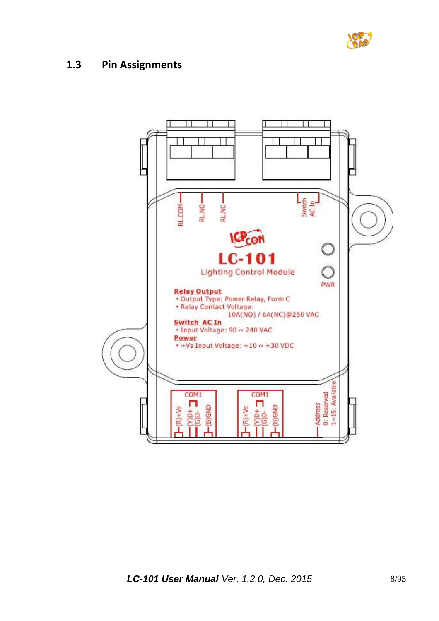

### **1.3 Pin Assignments**

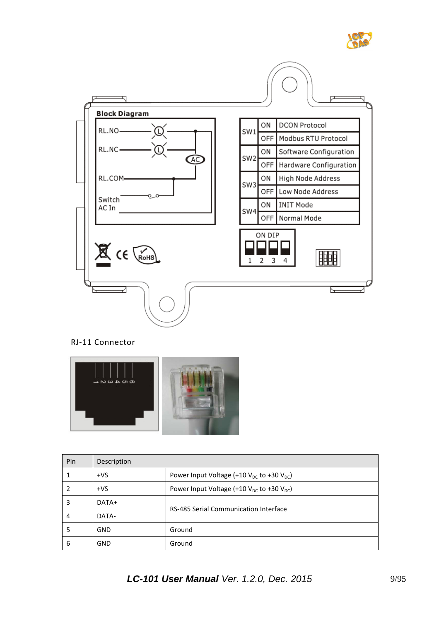



#### RJ-11 Connector



| Pin | Description |                                                     |  |  |  |  |
|-----|-------------|-----------------------------------------------------|--|--|--|--|
|     | $+VS$       | Power Input Voltage (+10 $V_{DC}$ to +30 $V_{DC}$ ) |  |  |  |  |
| 2   | $+VS$       | Power Input Voltage (+10 $V_{DC}$ to +30 $V_{DC}$ ) |  |  |  |  |
| 3   | DATA+       | RS-485 Serial Communication Interface               |  |  |  |  |
| 4   | DATA-       |                                                     |  |  |  |  |
| 5   | GND         | Ground                                              |  |  |  |  |
| 6   | <b>GND</b>  | Ground                                              |  |  |  |  |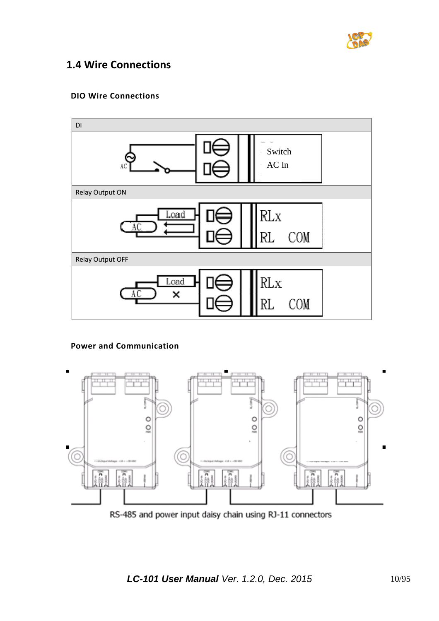

### **1.4 Wire Connections**

#### **DIO Wire Connections**



#### **Power and Communication**



RS-485 and power input daisy chain using RJ-11 connectors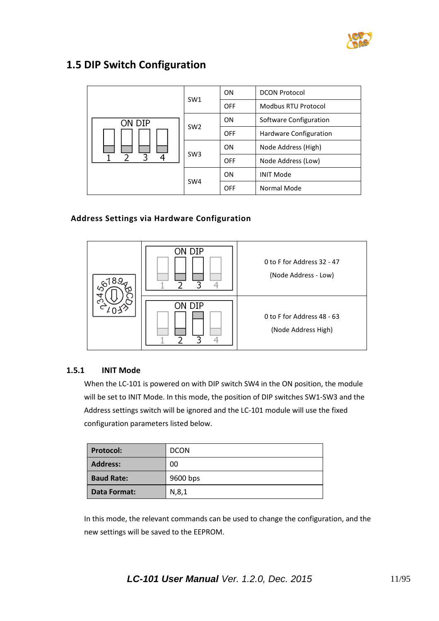

### **1.5 DIP Switch Configuration**

|                          | SW <sub>1</sub> | ON         | <b>DCON Protocol</b>   |
|--------------------------|-----------------|------------|------------------------|
|                          |                 | <b>OFF</b> | Modbus RTU Protocol    |
| <b>DIP</b>               | SW <sub>2</sub> | ON         | Software Configuration |
|                          |                 | <b>OFF</b> | Hardware Configuration |
|                          | SW <sub>3</sub> | ON         | Node Address (High)    |
| $\overline{3}$<br>っ<br>4 |                 | <b>OFF</b> | Node Address (Low)     |
|                          |                 | ON         | <b>INIT Mode</b>       |
|                          | SW <sub>4</sub> | <b>OFF</b> | Normal Mode            |

#### **Address Settings via Hardware Configuration**



#### **1.5.1 INIT Mode**

When the LC-101 is powered on with DIP switch SW4 in the ON position, the module will be set to INIT Mode. In this mode, the position of DIP switches SW1-SW3 and the Address settings switch will be ignored and the LC-101 module will use the fixed configuration parameters listed below.

| <b>Protocol:</b>  | <b>DCON</b> |
|-------------------|-------------|
| <b>Address:</b>   | 00          |
| <b>Baud Rate:</b> | 9600 bps    |
| Data Format:      | N, 8, 1     |

In this mode, the relevant commands can be used to change the configuration, and the new settings will be saved to the EEPROM.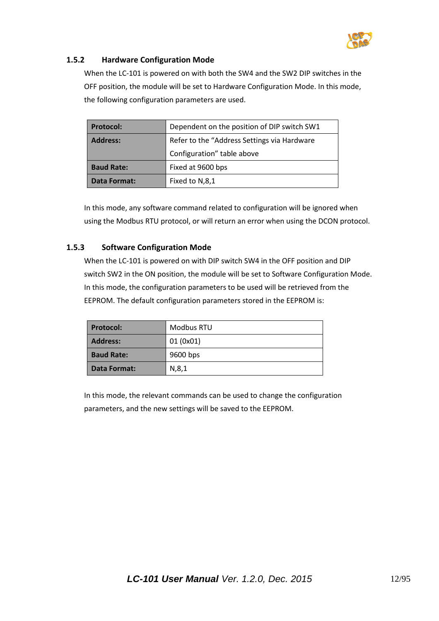

#### **1.5.2 Hardware Configuration Mode**

When the LC-101 is powered on with both the SW4 and the SW2 DIP switches in the OFF position, the module will be set to Hardware Configuration Mode. In this mode, the following configuration parameters are used.

| <b>Protocol:</b>    | Dependent on the position of DIP switch SW1 |  |  |
|---------------------|---------------------------------------------|--|--|
| <b>Address:</b>     | Refer to the "Address Settings via Hardware |  |  |
|                     | Configuration" table above                  |  |  |
| <b>Baud Rate:</b>   | Fixed at 9600 bps                           |  |  |
| <b>Data Format:</b> | Fixed to N,8,1                              |  |  |

In this mode, any software command related to configuration will be ignored when using the Modbus RTU protocol, or will return an error when using the DCON protocol.

#### **1.5.3 Software Configuration Mode**

When the LC-101 is powered on with DIP switch SW4 in the OFF position and DIP switch SW2 in the ON position, the module will be set to Software Configuration Mode. In this mode, the configuration parameters to be used will be retrieved from the EEPROM. The default configuration parameters stored in the EEPROM is:

| <b>Protocol:</b>  | Modbus RTU |  |  |
|-------------------|------------|--|--|
| <b>Address:</b>   | 01 (0x01)  |  |  |
| <b>Baud Rate:</b> | 9600 bps   |  |  |
| Data Format:      | N, 8, 1    |  |  |

In this mode, the relevant commands can be used to change the configuration parameters, and the new settings will be saved to the EEPROM.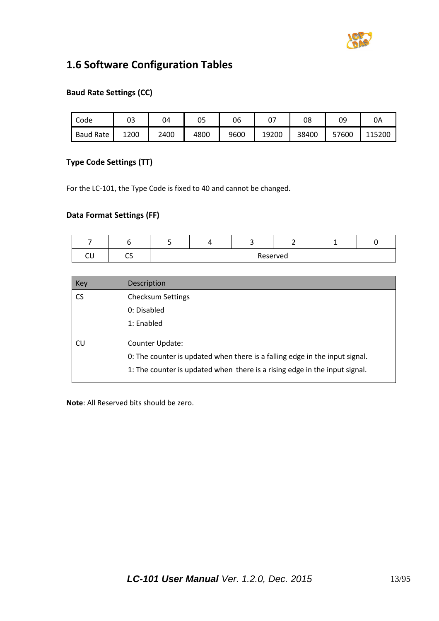

## **1.6 Software Configuration Tables**

#### **Baud Rate Settings (CC)**

| Code             | 03   | 04   | 05   | 06   | 07    | 08    | 09    |        |
|------------------|------|------|------|------|-------|-------|-------|--------|
| <b>Baud Rate</b> | 1200 | 2400 | 4800 | 9600 | 19200 | 38400 | 57600 | 115200 |

#### **Type Code Settings (TT)**

For the LC-101, the Type Code is fixed to 40 and cannot be changed.

#### **Data Format Settings (FF)**

| . .<br>ັບ | --<br>ັ |  | Reserved |  |  |
|-----------|---------|--|----------|--|--|

| Key       | Description                                                                 |
|-----------|-----------------------------------------------------------------------------|
| <b>CS</b> | <b>Checksum Settings</b>                                                    |
|           | 0: Disabled                                                                 |
|           | 1: Enabled                                                                  |
| CU        | Counter Update:                                                             |
|           | 0: The counter is updated when there is a falling edge in the input signal. |
|           | 1: The counter is updated when there is a rising edge in the input signal.  |

**Note**: All Reserved bits should be zero.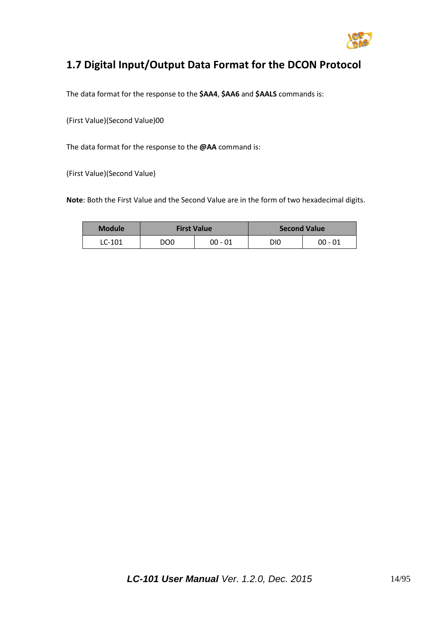

### **1.7 Digital Input/Output Data Format for the DCON Protocol**

The data format for the response to the **\$AA4**, **\$AA6** and **\$AALS** commands is:

(First Value)(Second Value)00

The data format for the response to the **@AA** command is:

(First Value)(Second Value)

**Note**: Both the First Value and the Second Value are in the form of two hexadecimal digits.

| <b>Module</b> | <b>First Value</b> |         |     | <b>Second Value</b> |
|---------------|--------------------|---------|-----|---------------------|
| LC-101        | DO0                | 00 - 01 | DI0 | 00 - 01             |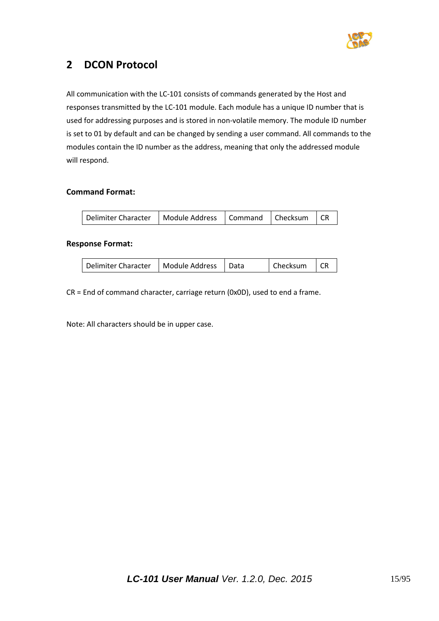

### **2 DCON Protocol**

All communication with the LC-101 consists of commands generated by the Host and responses transmitted by the LC-101 module. Each module has a unique ID number that is used for addressing purposes and is stored in non-volatile memory. The module ID number is set to 01 by default and can be changed by sending a user command. All commands to the modules contain the ID number as the address, meaning that only the addressed module will respond.

#### **Command Format:**

| Delimiter Character   Module Address   Command   Checksum   CR |  |  |  |
|----------------------------------------------------------------|--|--|--|
|----------------------------------------------------------------|--|--|--|

#### **Response Format:**

| Module Address   Data<br>Delimiter Character |  | Checksum |  |
|----------------------------------------------|--|----------|--|
|----------------------------------------------|--|----------|--|

CR = End of command character, carriage return (0x0D), used to end a frame.

Note: All characters should be in upper case.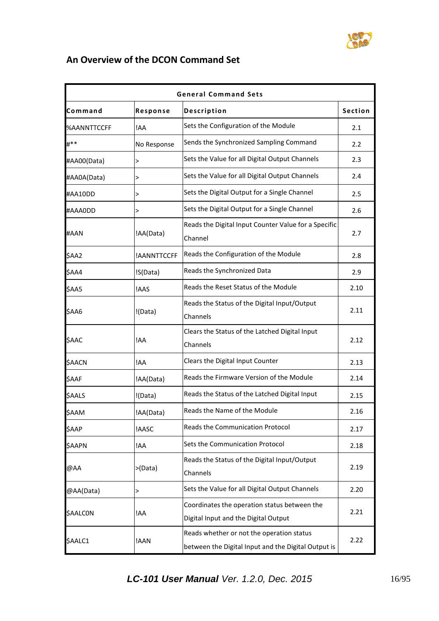

### **An Overview of the DCON Command Set**

| <b>General Command Sets</b> |             |                                                                                                  |                |
|-----------------------------|-------------|--------------------------------------------------------------------------------------------------|----------------|
| Command                     | Response    | Description                                                                                      | <b>Section</b> |
| %AANNTTCCFF                 | !AA         | Sets the Configuration of the Module                                                             | 2.1            |
| #**                         | No Response | Sends the Synchronized Sampling Command                                                          | 2.2            |
| #AA00(Data)                 | >           | Sets the Value for all Digital Output Channels                                                   | 2.3            |
| #AA0A(Data)                 | >           | Sets the Value for all Digital Output Channels                                                   | 2.4            |
| #AA10DD                     | >           | Sets the Digital Output for a Single Channel                                                     | 2.5            |
| #AAA0DD                     | >           | Sets the Digital Output for a Single Channel                                                     | 2.6            |
| #AAN                        | !AA(Data)   | Reads the Digital Input Counter Value for a Specific<br>Channel                                  | 2.7            |
| \$AA2                       | !AANNTTCCFF | Reads the Configuration of the Module                                                            | 2.8            |
| \$AA4                       | !S(Data)    | Reads the Synchronized Data                                                                      | 2.9            |
| \$AA5                       | !AAS        | Reads the Reset Status of the Module                                                             | 2.10           |
| \$AA6                       | !(Data)     | Reads the Status of the Digital Input/Output<br>Channels                                         | 2.11           |
| \$AAC                       | !AA         | Clears the Status of the Latched Digital Input<br>Channels                                       | 2.12           |
| <b>\$AACN</b>               | !AA         | Clears the Digital Input Counter                                                                 | 2.13           |
| <b>\$AAF</b>                | !AA(Data)   | Reads the Firmware Version of the Module                                                         | 2.14           |
| <b>\$AALS</b>               | !(Data)     | Reads the Status of the Latched Digital Input                                                    | 2.15           |
| \$AAM                       | !AA(Data)   | Reads the Name of the Module                                                                     | 2.16           |
| <b>\$AAP</b>                | !AASC       | Reads the Communication Protocol                                                                 | 2.17           |
| \$AAPN                      | !AA         | Sets the Communication Protocol                                                                  | 2.18           |
| @AA                         | >(Data)     | Reads the Status of the Digital Input/Output<br>Channels                                         | 2.19           |
| @AA(Data)                   | >           | Sets the Value for all Digital Output Channels                                                   | 2.20           |
| <b>\$AALCON</b>             | !AA         | Coordinates the operation status between the<br>Digital Input and the Digital Output             | 2.21           |
| \$AALC1                     | !AAN        | Reads whether or not the operation status<br>between the Digital Input and the Digital Output is | 2.22           |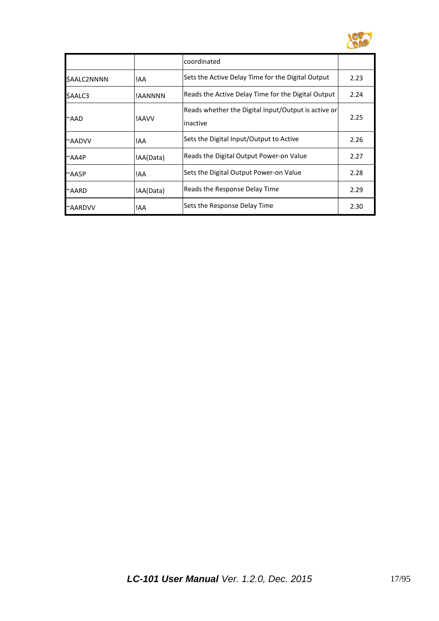

|                   |           | coordinated                                                     |      |
|-------------------|-----------|-----------------------------------------------------------------|------|
| <b>SAALC2NNNN</b> | !AA       | Sets the Active Delay Time for the Digital Output               | 2.23 |
| <b>\$AALC3</b>    | !AANNNN   | Reads the Active Delay Time for the Digital Output              | 2.24 |
| ∼AAD              | !AAVV     | Reads whether the Digital Input/Output is active or<br>inactive | 2.25 |
| ~AADVV            | !AA       | Sets the Digital Input/Output to Active                         | 2.26 |
| $\sim$ AA4P       | !AA(Data) | Reads the Digital Output Power-on Value                         | 2.27 |
| $\sim$ AA5P       | !AA       | Sets the Digital Output Power-on Value                          | 2.28 |
| $\sim$ AARD       | !AA(Data) | Reads the Response Delay Time                                   | 2.29 |
| ~AARDVV           | !AA       | Sets the Response Delay Time                                    | 2.30 |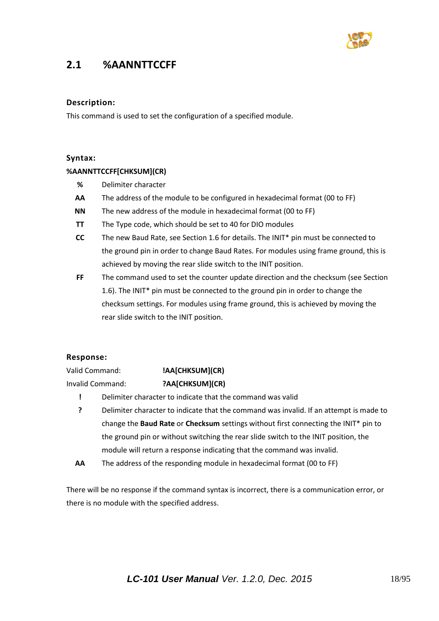

### **2.1 %AANNTTCCFF**

#### **Description:**

This command is used to set the configuration of a specified module.

#### **Syntax:**

#### **%AANNTTCCFF[CHKSUM](CR)**

- **%** Delimiter character
- **AA** The address of the module to be configured in hexadecimal format (00 to FF)
- **NN** The new address of the module in hexadecimal format (00 to FF)
- **TT** The Type code, which should be set to 40 for DIO modules
- **CC** The new Baud Rate, see Section 1.6 for details. The INIT\* pin must be connected to the ground pin in order to change Baud Rates. For modules using frame ground, this is achieved by moving the rear slide switch to the INIT position.
- FF The command used to set the counter update direction and the checksum (see Section 1.6). The INIT\* pin must be connected to the ground pin in order to change the checksum settings. For modules using frame ground, this is achieved by moving the rear slide switch to the INIT position.

#### **Response:**

| Valid Command:   | !AA[CHKSUM](CR) |
|------------------|-----------------|
| Invalid Command: | ?AA[CHKSUM](CR) |

- **!** Delimiter character to indicate that the command was valid
- **?** Delimiter character to indicate that the command was invalid. If an attempt is made to change the **Baud Rate** or **Checksum** settings without first connecting the INIT\* pin to the ground pin or without switching the rear slide switch to the INIT position, the module will return a response indicating that the command was invalid.
- **AA** The address of the responding module in hexadecimal format (00 to FF)

There will be no response if the command syntax is incorrect, there is a communication error, or there is no module with the specified address.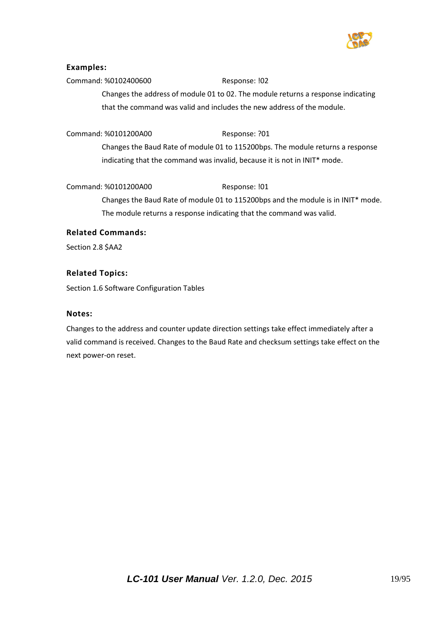

#### **Examples:**

Command: %0102400600 Response: !02

 Changes the address of module 01 to 02. The module returns a response indicating that the command was valid and includes the new address of the module.

#### Command: %0101200A00 Response: ?01

 Changes the Baud Rate of module 01 to 115200bps. The module returns a response indicating that the command was invalid, because it is not in INIT\* mode.

#### Command: %0101200A00 Response: !01

 Changes the Baud Rate of module 01 to 115200bps and the module is in INIT\* mode. The module returns a response indicating that the command was valid.

#### **Related Commands:**

Section 2.8 \$AA2

#### **Related Topics:**

Section 1.6 Software Configuration Tables

#### **Notes:**

Changes to the address and counter update direction settings take effect immediately after a valid command is received. Changes to the Baud Rate and checksum settings take effect on the next power-on reset.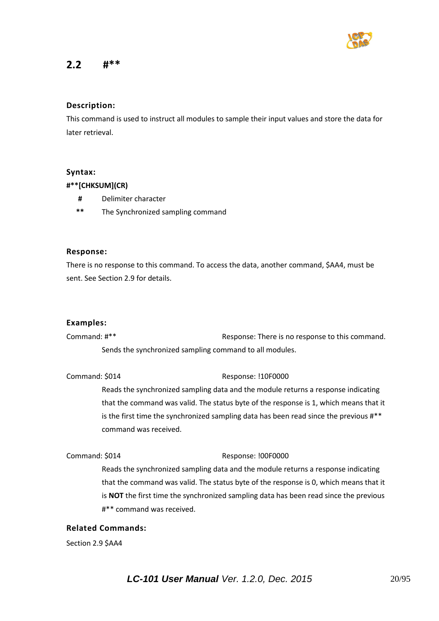

### **2.2 #\*\***

#### **Description:**

This command is used to instruct all modules to sample their input values and store the data for later retrieval.

#### **Syntax:**

#### **#\*\*[CHKSUM](CR)**

- **#** Delimiter character
- **\*\*** The Synchronized sampling command

#### **Response:**

There is no response to this command. To access the data, another command, \$AA4, must be sent. See Section 2.9 for details.

#### **Examples:**

Command: #\*\* Response: There is no response to this command. Sends the synchronized sampling command to all modules.

Command: \$014 Response: !10F0000 Reads the synchronized sampling data and the module returns a response indicating that the command was valid. The status byte of the response is 1, which means that it is the first time the synchronized sampling data has been read since the previous  $\#$ \*\* command was received.

Command: \$014 Response: !00F0000

 Reads the synchronized sampling data and the module returns a response indicating that the command was valid. The status byte of the response is 0, which means that it is **NOT** the first time the synchronized sampling data has been read since the previous #\*\* command was received.

#### **Related Commands:**

Section 2.9 \$AA4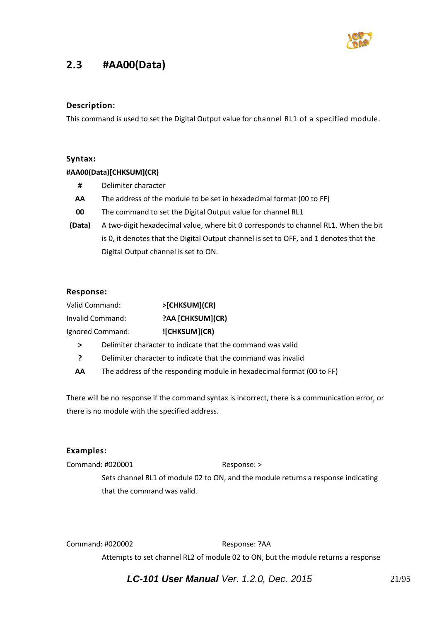

### **2.3 #AA00(Data)**

#### **Description:**

This command is used to set the Digital Output value for channel RL1 of a specified module.

#### **Syntax:**

#### **#AA00(Data)[CHKSUM](CR)**

- **#** Delimiter character
- **AA** The address of the module to be set in hexadecimal format (00 to FF)
- **00** The command to set the Digital Output value for channel RL1
- **(Data)** A two-digit hexadecimal value, where bit 0 corresponds to channel RL1. When the bit is 0, it denotes that the Digital Output channel is set to OFF, and 1 denotes that the Digital Output channel is set to ON.

#### **Response:**

| Valid Command:   | >[CHKSUM](CR)    |
|------------------|------------------|
| Invalid Command: | ?AA [CHKSUM](CR) |
| Ignored Command: | ![CHKSUM](CR)    |

- **>** Delimiter character to indicate that the command was valid
- **?** Delimiter character to indicate that the command was invalid
- **AA** The address of the responding module in hexadecimal format (00 to FF)

There will be no response if the command syntax is incorrect, there is a communication error, or there is no module with the specified address.

#### **Examples:**

Command: #020001 Response: > Sets channel RL1 of module 02 to ON, and the module returns a response indicating that the command was valid.

Command: #020002 Response: ?AA

Attempts to set channel RL2 of module 02 to ON, but the module returns a response

**LC-101 User Manual** Ver. 1.2.0, Dec. 2015 21/95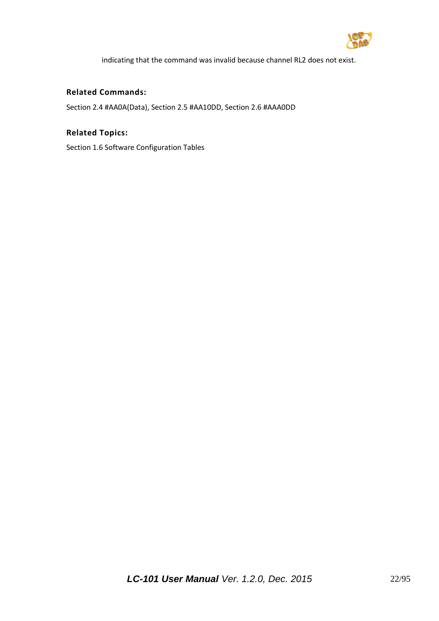

indicating that the command was invalid because channel RL2 does not exist.

#### **Related Commands:**

Section 2.4 #AA0A(Data), Section 2.5 #AA10DD, Section 2.6 #AAA0DD

#### **Related Topics:**

Section 1.6 Software Configuration Tables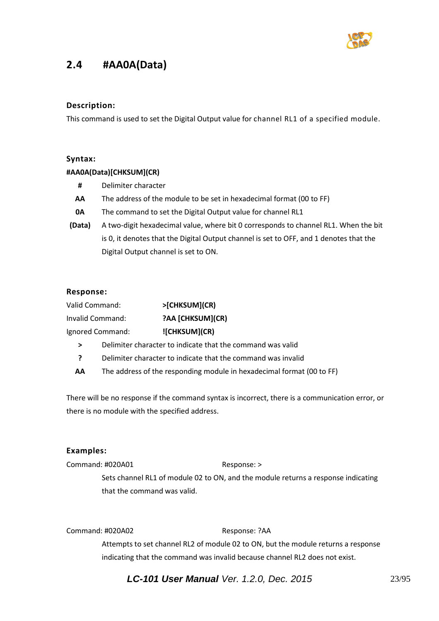

### **2.4 #AA0A(Data)**

#### **Description:**

This command is used to set the Digital Output value for channel RL1 of a specified module.

#### **Syntax:**

#### **#AA0A(Data)[CHKSUM](CR)**

- **#** Delimiter character
- **AA** The address of the module to be set in hexadecimal format (00 to FF)
- **0A** The command to set the Digital Output value for channel RL1
- **(Data)** A two-digit hexadecimal value, where bit 0 corresponds to channel RL1. When the bit is 0, it denotes that the Digital Output channel is set to OFF, and 1 denotes that the Digital Output channel is set to ON.

#### **Response:**

| Valid Command:   | $>$ [CHKSUM](CR) |
|------------------|------------------|
| Invalid Command: | ?AA [CHKSUM](CR) |
| Ignored Command: | ![CHKSUM](CR)    |

- **>** Delimiter character to indicate that the command was valid
- **?** Delimiter character to indicate that the command was invalid
- **AA** The address of the responding module in hexadecimal format (00 to FF)

There will be no response if the command syntax is incorrect, there is a communication error, or there is no module with the specified address.

#### **Examples:**

Command: #020A01 Response: > Sets channel RL1 of module 02 to ON, and the module returns a response indicating that the command was valid.

Command: #020A02 Response: ?AA Attempts to set channel RL2 of module 02 to ON, but the module returns a response indicating that the command was invalid because channel RL2 does not exist.

#### **LC-101 User Manual** Ver. 1.2.0, Dec. 2015 23/95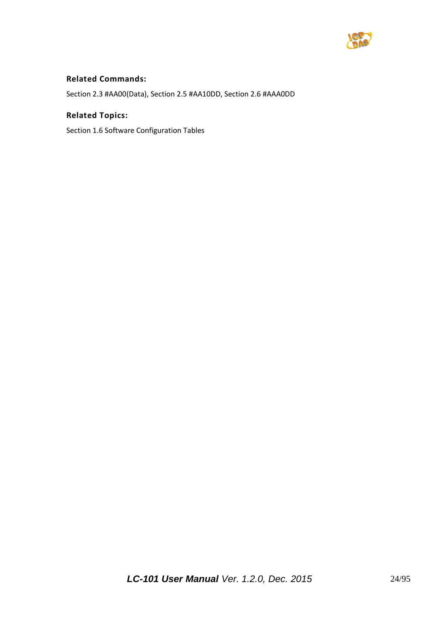

#### **Related Commands:**

Section 2.3 #AA00(Data), Section 2.5 #AA10DD, Section 2.6 #AAA0DD

#### **Related Topics:**

Section 1.6 Software Configuration Tables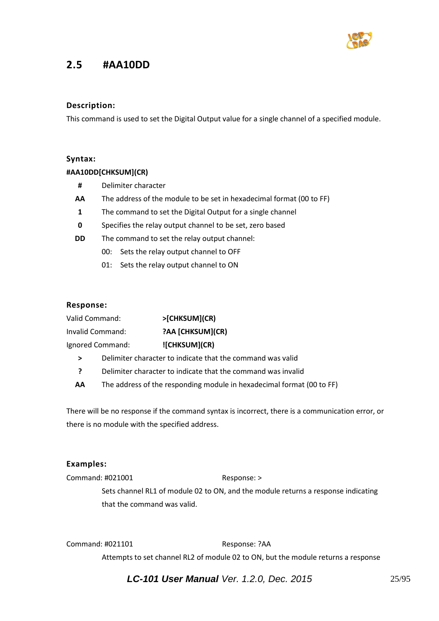

### **2.5 #AA10DD**

#### **Description:**

This command is used to set the Digital Output value for a single channel of a specified module.

#### **Syntax:**

#### **#AA10DD[CHKSUM](CR)**

- **#** Delimiter character
- **AA** The address of the module to be set in hexadecimal format (00 to FF)
- **1** The command to set the Digital Output for a single channel
- **0** Specifies the relay output channel to be set, zero based
- **DD** The command to set the relay output channel:
	- 00: Sets the relay output channel to OFF
	- 01: Sets the relay output channel to ON

#### **Response:**

| Valid Command:   | >[CHKSUM](CR)    |
|------------------|------------------|
| Invalid Command: | ?AA [CHKSUM](CR) |
| Ignored Command: | ![CHKSUM](CR)    |

- **>** Delimiter character to indicate that the command was valid
- **?** Delimiter character to indicate that the command was invalid
- **AA** The address of the responding module in hexadecimal format (00 to FF)

There will be no response if the command syntax is incorrect, there is a communication error, or there is no module with the specified address.

#### **Examples:**

Command: #021001 Response: >

 Sets channel RL1 of module 02 to ON, and the module returns a response indicating that the command was valid.

Command: #021101 Response: ?AA

Attempts to set channel RL2 of module 02 to ON, but the module returns a response

**LC-101 User Manual** Ver. 1.2.0, Dec. 2015 25/95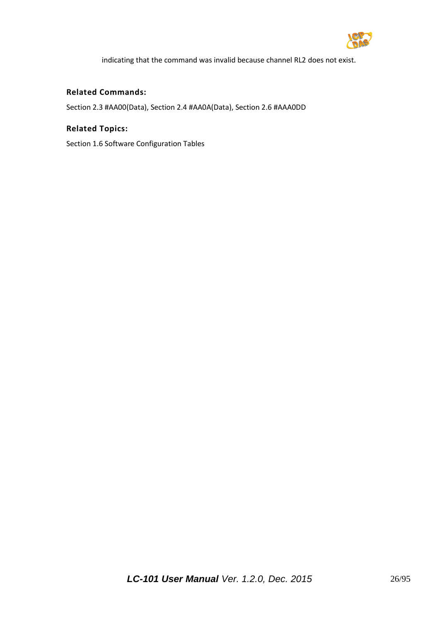

indicating that the command was invalid because channel RL2 does not exist.

#### **Related Commands:**

Section 2.3 #AA00(Data), Section 2.4 #AA0A(Data), Section 2.6 #AAA0DD

#### **Related Topics:**

Section 1.6 Software Configuration Tables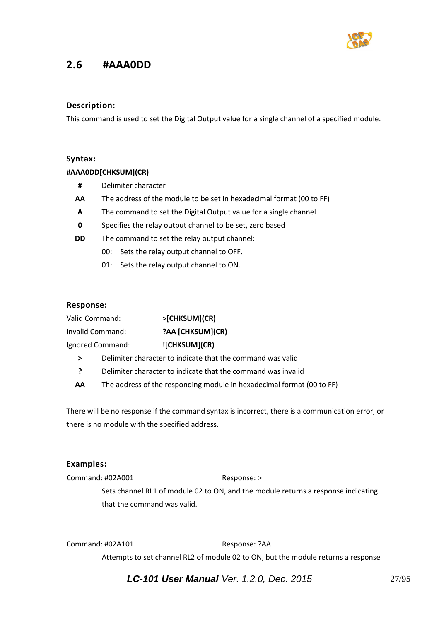

### **2.6 #AAA0DD**

#### **Description:**

This command is used to set the Digital Output value for a single channel of a specified module.

#### **Syntax:**

#### **#AAA0DD[CHKSUM](CR)**

- **#** Delimiter character
- **AA** The address of the module to be set in hexadecimal format (00 to FF)
- **A** The command to set the Digital Output value for a single channel
- **0** Specifies the relay output channel to be set, zero based
- **DD** The command to set the relay output channel:
	- 00: Sets the relay output channel to OFF.
	- 01: Sets the relay output channel to ON.

#### **Response:**

| Valid Command:   | >[CHKSUM](CR)    |
|------------------|------------------|
| Invalid Command: | ?AA [CHKSUM](CR) |
| Ignored Command: | ![CHKSUM](CR)    |

- **>** Delimiter character to indicate that the command was valid
- **?** Delimiter character to indicate that the command was invalid
- **AA** The address of the responding module in hexadecimal format (00 to FF)

There will be no response if the command syntax is incorrect, there is a communication error, or there is no module with the specified address.

#### **Examples:**

Command: #02A001 Response: >

 Sets channel RL1 of module 02 to ON, and the module returns a response indicating that the command was valid.

Command: #02A101 Response: ?AA

Attempts to set channel RL2 of module 02 to ON, but the module returns a response

**LC-101 User Manual** Ver. 1.2.0, Dec. 2015 27/95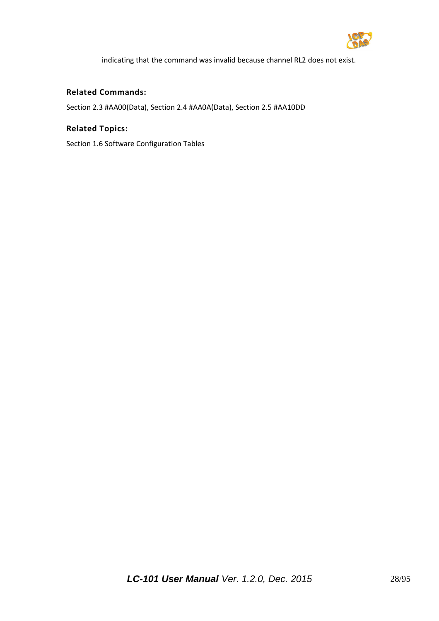

indicating that the command was invalid because channel RL2 does not exist.

#### **Related Commands:**

Section 2.3 #AA00(Data), Section 2.4 #AA0A(Data), Section 2.5 #AA10DD

#### **Related Topics:**

Section 1.6 Software Configuration Tables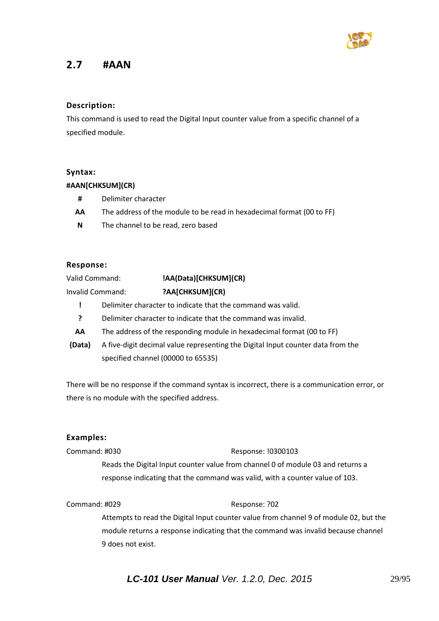

### **2.7 #AAN**

#### **Description:**

This command is used to read the Digital Input counter value from a specific channel of a specified module.

#### **Syntax:**

#### **#AAN[CHKSUM](CR)**

- **#** Delimiter character
- **AA** The address of the module to be read in hexadecimal format (00 to FF)
- **N** The channel to be read, zero based

#### **Response:**

Valid Command: **!AA(Data)[CHKSUM](CR)**  Invalid Command: **?AA[CHKSUM](CR)** 

- **!** Delimiter character to indicate that the command was valid.
- **?** Delimiter character to indicate that the command was invalid.
- **AA** The address of the responding module in hexadecimal format (00 to FF)
- **(Data)** A five-digit decimal value representing the Digital Input counter data from the specified channel (00000 to 65535)

There will be no response if the command syntax is incorrect, there is a communication error, or there is no module with the specified address.

#### **Examples:**

Command: #030 **Response: !0300103** 

 Reads the Digital Input counter value from channel 0 of module 03 and returns a response indicating that the command was valid, with a counter value of 103.

Command: #029 Response: ?02 Attempts to read the Digital Input counter value from channel 9 of module 02, but the module returns a response indicating that the command was invalid because channel 9 does not exist.

### **LC-101 User Manual** Ver. 1.2.0, Dec. 2015 29/95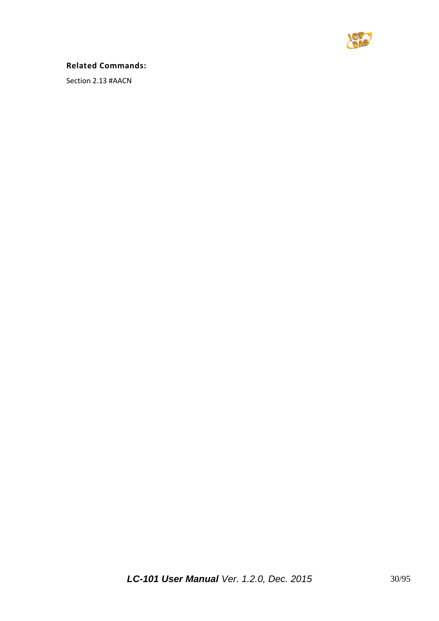

#### **Related Commands:**

Section 2.13 #AACN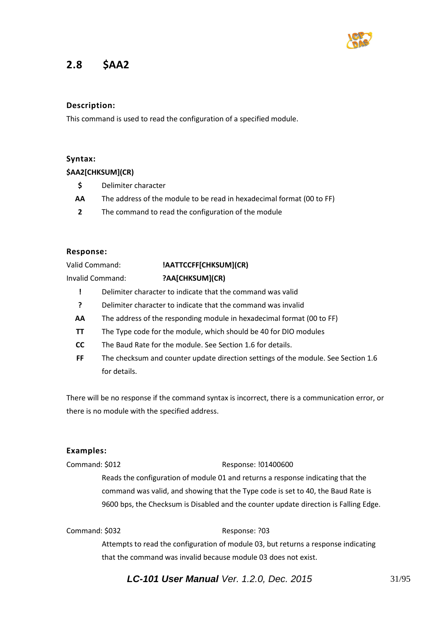

### **2.8 \$AA2**

#### **Description:**

This command is used to read the configuration of a specified module.

#### **Syntax:**

#### **\$AA2[CHKSUM](CR)**

- **\$** Delimiter character
- **AA** The address of the module to be read in hexadecimal format (00 to FF)
- **2** The command to read the configuration of the module

#### **Response:**

| Valid Command: |                  | !AATTCCFF[CHKSUM](CR)                                                             |
|----------------|------------------|-----------------------------------------------------------------------------------|
|                | Invalid Command: | ?AA[CHKSUM](CR)                                                                   |
|                |                  | Delimiter character to indicate that the command was valid                        |
| ?              |                  | Delimiter character to indicate that the command was invalid                      |
| AA             |                  | The address of the responding module in hexadecimal format (00 to FF)             |
| TΤ             |                  | The Type code for the module, which should be 40 for DIO modules                  |
| <b>CC</b>      |                  | The Baud Rate for the module. See Section 1.6 for details.                        |
| <b>FF</b>      |                  | The checksum and counter update direction settings of the module. See Section 1.6 |
|                | for details.     |                                                                                   |

There will be no response if the command syntax is incorrect, there is a communication error, or there is no module with the specified address.

#### **Examples:**

Command: \$012 Response: !01400600 Reads the configuration of module 01 and returns a response indicating that the command was valid, and showing that the Type code is set to 40, the Baud Rate is 9600 bps, the Checksum is Disabled and the counter update direction is Falling Edge.

Command: \$032 Response: ?03

 Attempts to read the configuration of module 03, but returns a response indicating that the command was invalid because module 03 does not exist.

### **LC-101 User Manual** Ver. 1.2.0, Dec. 2015 31/95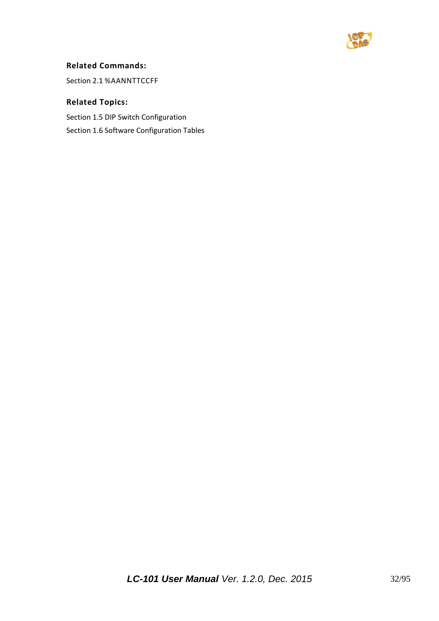

#### **Related Commands:**

Section 2.1 %AANNTTCCFF

### **Related Topics:**

Section 1.5 DIP Switch Configuration Section 1.6 Software Configuration Tables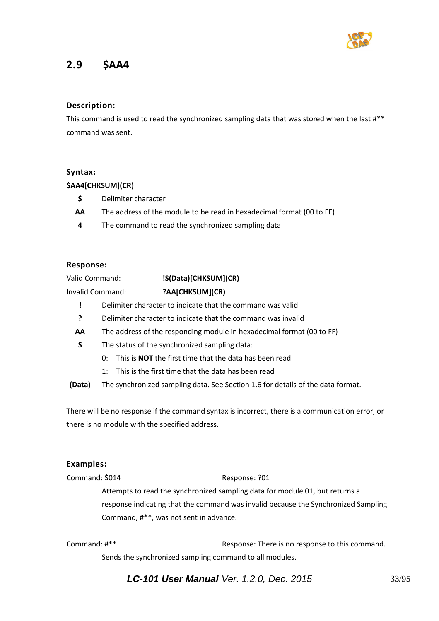

### **2.9 \$AA4**

#### **Description:**

This command is used to read the synchronized sampling data that was stored when the last #\*\* command was sent.

#### **Syntax:**

#### **\$AA4[CHKSUM](CR)**

- **\$** Delimiter character
- **AA** The address of the module to be read in hexadecimal format (00 to FF)
- **4** The command to read the synchronized sampling data

#### **Response:**

Valid Command: **!S(Data)[CHKSUM](CR)**  Invalid Command: **?AA[CHKSUM](CR) !** Delimiter character to indicate that the command was valid **?** Delimiter character to indicate that the command was invalid **AA** The address of the responding module in hexadecimal format (00 to FF) **S** The status of the synchronized sampling data: 0: This is **NOT** the first time that the data has been read 1: This is the first time that the data has been read

**(Data)** The synchronized sampling data. See Section 1.6 for details of the data format.

There will be no response if the command syntax is incorrect, there is a communication error, or there is no module with the specified address.

#### **Examples:**

Command: \$014 Response: ?01

 Attempts to read the synchronized sampling data for module 01, but returns a response indicating that the command was invalid because the Synchronized Sampling Command, #\*\*, was not sent in advance.

Command: #\*\* Response: There is no response to this command. Sends the synchronized sampling command to all modules.

#### **LC-101 User Manual** Ver. 1.2.0, Dec. 2015 33/95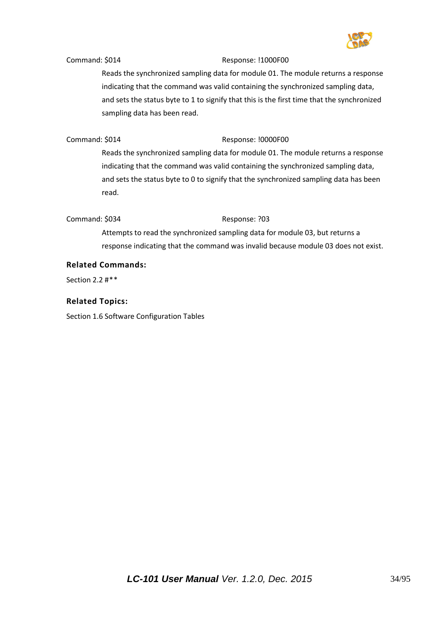

#### Command: \$014 Response: !1000F00

 Reads the synchronized sampling data for module 01. The module returns a response indicating that the command was valid containing the synchronized sampling data, and sets the status byte to 1 to signify that this is the first time that the synchronized sampling data has been read.

#### Command: \$014 Response: !0000F00

 Reads the synchronized sampling data for module 01. The module returns a response indicating that the command was valid containing the synchronized sampling data, and sets the status byte to 0 to signify that the synchronized sampling data has been read.

#### Command: \$034 Response: ?03

 Attempts to read the synchronized sampling data for module 03, but returns a response indicating that the command was invalid because module 03 does not exist.

#### **Related Commands:**

Section 2.2 #\*\*

#### **Related Topics:**

Section 1.6 Software Configuration Tables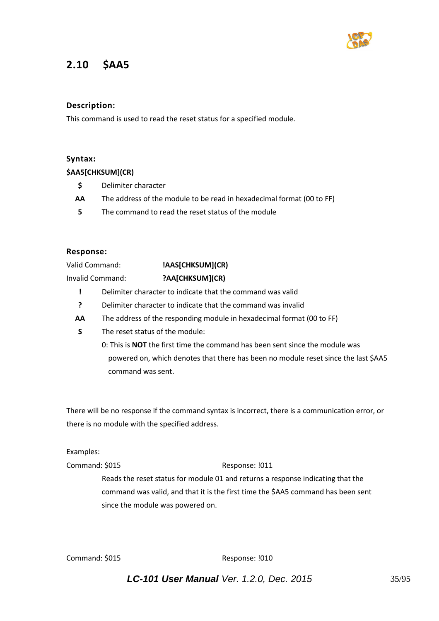

### **2.10 \$AA5**

#### **Description:**

This command is used to read the reset status for a specified module.

#### **Syntax:**

#### **\$AA5[CHKSUM](CR)**

- **\$** Delimiter character
- **AA** The address of the module to be read in hexadecimal format (00 to FF)
- **5** The command to read the reset status of the module

#### **Response:**

| Valid Command:   |                                                                       | !AAS[CHKSUM](CR)                                                                    |
|------------------|-----------------------------------------------------------------------|-------------------------------------------------------------------------------------|
| Invalid Command: |                                                                       | ?AA[CHKSUM](CR)                                                                     |
|                  | Delimiter character to indicate that the command was valid            |                                                                                     |
| ?                | Delimiter character to indicate that the command was invalid          |                                                                                     |
| AA               | The address of the responding module in hexadecimal format (00 to FF) |                                                                                     |
| S.               | The reset status of the module:                                       |                                                                                     |
|                  |                                                                       | 0: This is <b>NOT</b> the first time the command has been sent since the module was |
|                  |                                                                       | powered on, which denotes that there has been no module reset since the last \$AA5  |

command was sent.

There will be no response if the command syntax is incorrect, there is a communication error, or there is no module with the specified address.

Examples:

Command: \$015 Response: !011

 Reads the reset status for module 01 and returns a response indicating that the command was valid, and that it is the first time the \$AA5 command has been sent since the module was powered on.

Command: \$015 Response: !010

**LC-101 User Manual** Ver. 1.2.0, Dec. 2015 35/95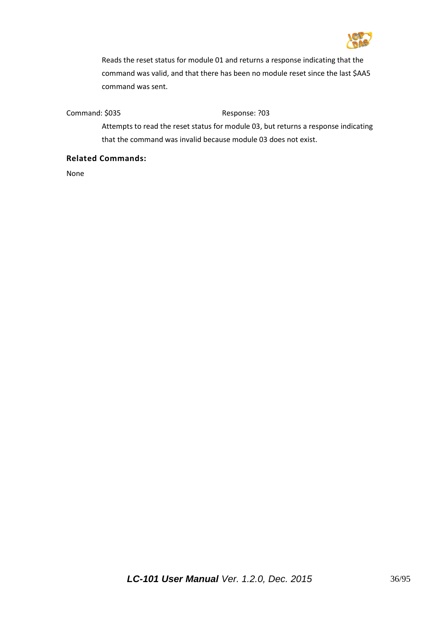

 Reads the reset status for module 01 and returns a response indicating that the command was valid, and that there has been no module reset since the last \$AA5 command was sent.

#### Command: \$035 Response: ?03

 Attempts to read the reset status for module 03, but returns a response indicating that the command was invalid because module 03 does not exist.

#### **Related Commands:**

None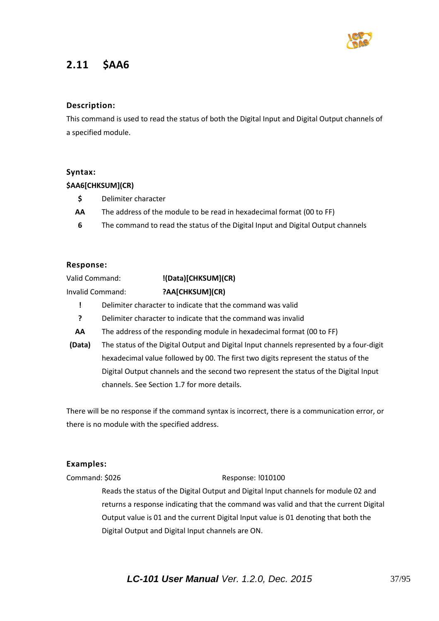

# **2.11 \$AA6**

#### **Description:**

This command is used to read the status of both the Digital Input and Digital Output channels of a specified module.

### **Syntax:**

#### **\$AA6[CHKSUM](CR)**

- **\$** Delimiter character
- **AA** The address of the module to be read in hexadecimal format (00 to FF)
- **6** The command to read the status of the Digital Input and Digital Output channels

#### **Response:**

Valid Command: **!(Data)[CHKSUM](CR)**  Invalid Command: **?AA[CHKSUM](CR)** 

- **!** Delimiter character to indicate that the command was valid
- **?** Delimiter character to indicate that the command was invalid
- **AA** The address of the responding module in hexadecimal format (00 to FF)
- **(Data)** The status of the Digital Output and Digital Input channels represented by a four-digit hexadecimal value followed by 00. The first two digits represent the status of the Digital Output channels and the second two represent the status of the Digital Input channels. See Section 1.7 for more details.

There will be no response if the command syntax is incorrect, there is a communication error, or there is no module with the specified address.

#### **Examples:**

Command: \$026 Response: !010100

 Reads the status of the Digital Output and Digital Input channels for module 02 and returns a response indicating that the command was valid and that the current Digital Output value is 01 and the current Digital Input value is 01 denoting that both the Digital Output and Digital Input channels are ON.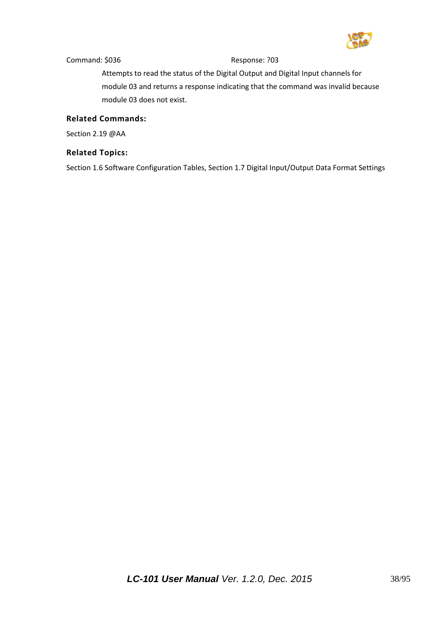

#### Command: \$036 Response: ?03

 Attempts to read the status of the Digital Output and Digital Input channels for module 03 and returns a response indicating that the command was invalid because module 03 does not exist.

## **Related Commands:**

Section 2.19 @AA

## **Related Topics:**

Section 1.6 Software Configuration Tables, Section 1.7 Digital Input/Output Data Format Settings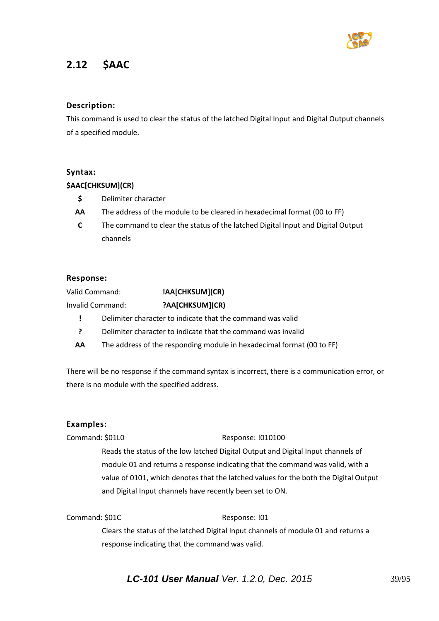

# **2.12 \$AAC**

### **Description:**

This command is used to clear the status of the latched Digital Input and Digital Output channels of a specified module.

#### **Syntax:**

#### **\$AAC[CHKSUM](CR)**

- **\$** Delimiter character
- **AA** The address of the module to be cleared in hexadecimal format (00 to FF)
- **C** The command to clear the status of the latched Digital Input and Digital Output channels

#### **Response:**

| Valid Command: |                                                              | !AA[CHKSUM](CR)                                                       |
|----------------|--------------------------------------------------------------|-----------------------------------------------------------------------|
|                | Invalid Command:                                             | ?AA[CHKSUM](CR)                                                       |
|                | Delimiter character to indicate that the command was valid   |                                                                       |
| 2              | Delimiter character to indicate that the command was invalid |                                                                       |
| AA             |                                                              | The address of the responding module in hexadecimal format (00 to FF) |

There will be no response if the command syntax is incorrect, there is a communication error, or there is no module with the specified address.

#### **Examples:**

Command: \$01L0 Response: !010100 Reads the status of the low latched Digital Output and Digital Input channels of module 01 and returns a response indicating that the command was valid, with a value of 0101, which denotes that the latched values for the both the Digital Output and Digital Input channels have recently been set to ON.

Command: \$01C Response: !01 Clears the status of the latched Digital Input channels of module 01 and returns a response indicating that the command was valid.

# **LC-101 User Manual** Ver. 1.2.0, Dec. 2015 39/95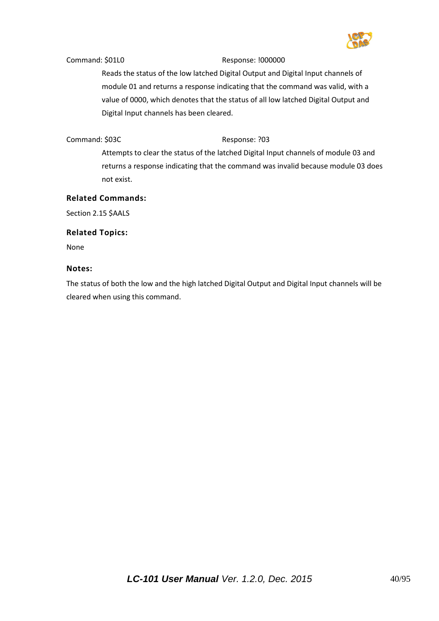

#### Command: \$01L0 Response: !000000

 Reads the status of the low latched Digital Output and Digital Input channels of module 01 and returns a response indicating that the command was valid, with a value of 0000, which denotes that the status of all low latched Digital Output and Digital Input channels has been cleared.

#### Command: \$03C Response: ?03

 Attempts to clear the status of the latched Digital Input channels of module 03 and returns a response indicating that the command was invalid because module 03 does not exist.

## **Related Commands:**

Section 2.15 \$AALS

#### **Related Topics:**

None

#### **Notes:**

The status of both the low and the high latched Digital Output and Digital Input channels will be cleared when using this command.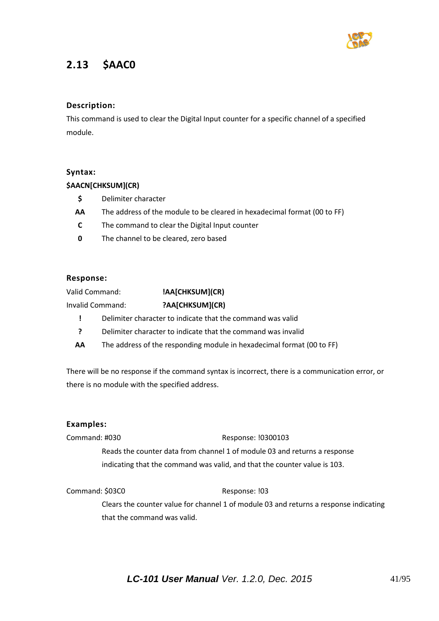

# **2.13 \$AAC0**

#### **Description:**

This command is used to clear the Digital Input counter for a specific channel of a specified module.

#### **Syntax:**

#### **\$AACN[CHKSUM](CR)**

- **\$** Delimiter character
- **AA** The address of the module to be cleared in hexadecimal format (00 to FF)
- **C** The command to clear the Digital Input counter
- **0** The channel to be cleared, zero based

#### **Response:**

| Valid Command:   |                                                            | !AA[CHKSUM](CR)                                              |
|------------------|------------------------------------------------------------|--------------------------------------------------------------|
| Invalid Command: |                                                            | ?AA[CHKSUM](CR)                                              |
| $\mathbf{L}$     | Delimiter character to indicate that the command was valid |                                                              |
| Τ.               |                                                            | Delimiter character to indicate that the command was invalid |

**AA** The address of the responding module in hexadecimal format (00 to FF)

There will be no response if the command syntax is incorrect, there is a communication error, or there is no module with the specified address.

#### **Examples:**

| Command: #030 |  |  |  |  | Response: !0300103 |  |  |
|---------------|--|--|--|--|--------------------|--|--|
|               |  |  |  |  |                    |  |  |

 Reads the counter data from channel 1 of module 03 and returns a response indicating that the command was valid, and that the counter value is 103.

Command: \$03C0 Response: !03 Clears the counter value for channel 1 of module 03 and returns a response indicating that the command was valid.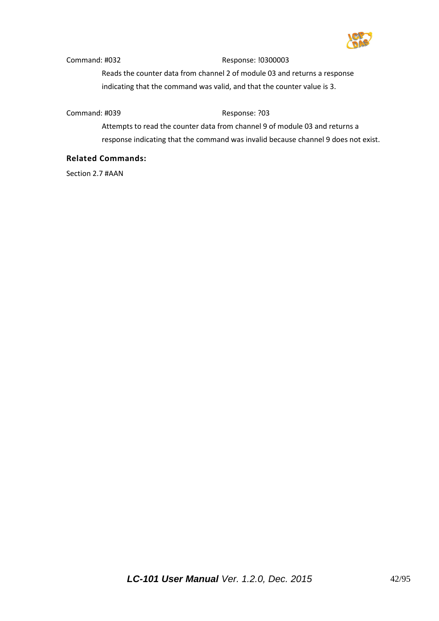

#### Command: #032 Response: !0300003

 Reads the counter data from channel 2 of module 03 and returns a response indicating that the command was valid, and that the counter value is 3.

#### Command: #039 Response: ?03

 Attempts to read the counter data from channel 9 of module 03 and returns a response indicating that the command was invalid because channel 9 does not exist.

# **Related Commands:**

Section 2.7 #AAN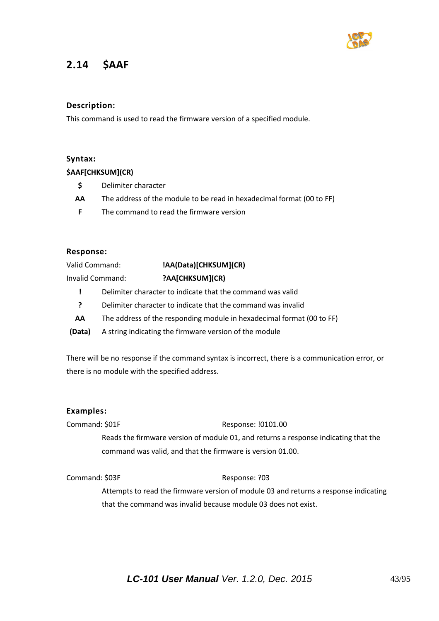

# **2.14 \$AAF**

#### **Description:**

This command is used to read the firmware version of a specified module.

#### **Syntax:**

#### **\$AAF[CHKSUM](CR)**

- **\$** Delimiter character
- **AA** The address of the module to be read in hexadecimal format (00 to FF)
- **F** The command to read the firmware version

#### **Response:**

| Valid Command:   |                                                                       | !AA(Data)[CHKSUM](CR) |
|------------------|-----------------------------------------------------------------------|-----------------------|
| Invalid Command: |                                                                       | ?AA[CHKSUM](CR)       |
|                  | Delimiter character to indicate that the command was valid            |                       |
| ?                | Delimiter character to indicate that the command was invalid          |                       |
| AA               | The address of the responding module in hexadecimal format (00 to FF) |                       |
| (Data)           | A string indicating the firmware version of the module                |                       |

There will be no response if the command syntax is incorrect, there is a communication error, or there is no module with the specified address.

## **Examples:**

| Command: \$01F |  |
|----------------|--|
|----------------|--|

Response: !0101.00

 Reads the firmware version of module 01, and returns a response indicating that the command was valid, and that the firmware is version 01.00.

Command: \$03F Response: ?03 Attempts to read the firmware version of module 03 and returns a response indicating that the command was invalid because module 03 does not exist.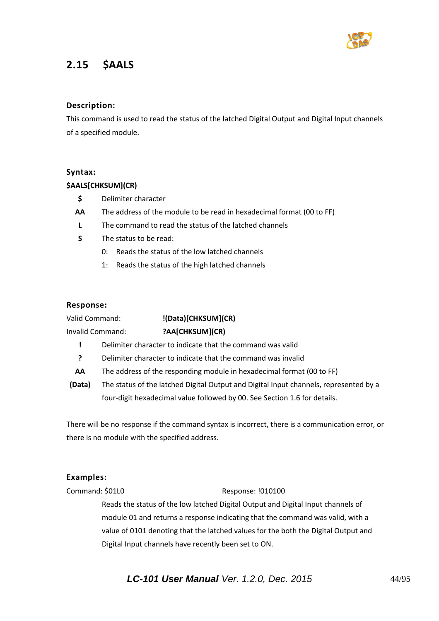

# **2.15 \$AALS**

#### **Description:**

This command is used to read the status of the latched Digital Output and Digital Input channels of a specified module.

#### **Syntax:**

#### **\$AALS[CHKSUM](CR)**

- **\$** Delimiter character
- **AA** The address of the module to be read in hexadecimal format (00 to FF)
- **L** The command to read the status of the latched channels
- **S** The status to be read:
	- 0: Reads the status of the low latched channels
	- 1: Reads the status of the high latched channels

#### **Response:**

| Valid Command:   |                                                                       | !(Data)[CHKSUM](CR) |  |
|------------------|-----------------------------------------------------------------------|---------------------|--|
| Invalid Command: |                                                                       | ?AA[CHKSUM](CR)     |  |
|                  | Delimiter character to indicate that the command was valid            |                     |  |
| 2                | Delimiter character to indicate that the command was invalid          |                     |  |
| AA               | The address of the responding module in hexadecimal format (00 to FF) |                     |  |

**(Data)** The status of the latched Digital Output and Digital Input channels, represented by a four-digit hexadecimal value followed by 00. See Section 1.6 for details.

There will be no response if the command syntax is incorrect, there is a communication error, or there is no module with the specified address.

#### **Examples:**

Command: \$01L0 Response: !010100

 Reads the status of the low latched Digital Output and Digital Input channels of module 01 and returns a response indicating that the command was valid, with a value of 0101 denoting that the latched values for the both the Digital Output and Digital Input channels have recently been set to ON.

# **LC-101 User Manual** Ver. 1.2.0, Dec. 2015 44/95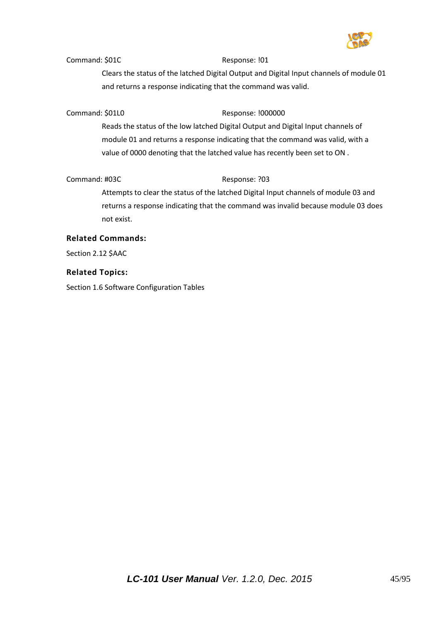

#### Command: \$01C Response: !01

 Clears the status of the latched Digital Output and Digital Input channels of module 01 and returns a response indicating that the command was valid.

#### Command: \$01L0 Response: !000000

 Reads the status of the low latched Digital Output and Digital Input channels of module 01 and returns a response indicating that the command was valid, with a value of 0000 denoting that the latched value has recently been set to ON .

#### Command: #03C Response: ?03

 Attempts to clear the status of the latched Digital Input channels of module 03 and returns a response indicating that the command was invalid because module 03 does not exist.

### **Related Commands:**

Section 2.12 \$AAC

#### **Related Topics:**

Section 1.6 Software Configuration Tables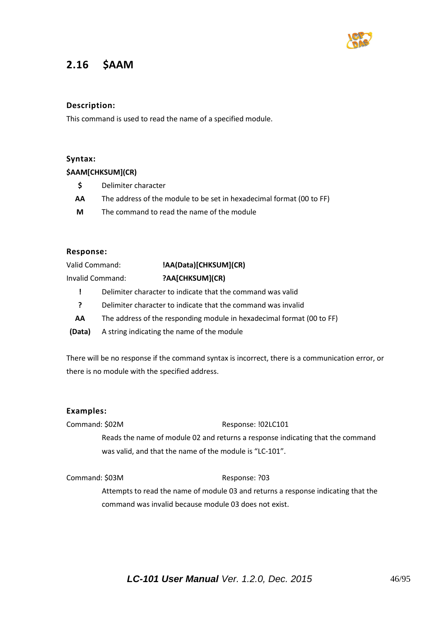

# **2.16 \$AAM**

#### **Description:**

This command is used to read the name of a specified module.

#### **Syntax:**

#### **\$AAM[CHKSUM](CR)**

- **\$** Delimiter character
- **AA** The address of the module to be set in hexadecimal format (00 to FF)
- **M** The command to read the name of the module

#### **Response:**

| Valid Command:   |                                                                       | !AA(Data)[CHKSUM](CR) |  |
|------------------|-----------------------------------------------------------------------|-----------------------|--|
| Invalid Command: |                                                                       | ?AA[CHKSUM](CR)       |  |
|                  | Delimiter character to indicate that the command was valid            |                       |  |
| ?                | Delimiter character to indicate that the command was invalid          |                       |  |
| AA               | The address of the responding module in hexadecimal format (00 to FF) |                       |  |
| (Data)           | A string indicating the name of the module                            |                       |  |

There will be no response if the command syntax is incorrect, there is a communication error, or there is no module with the specified address.

#### **Examples:**

| Command: \$02M |  |
|----------------|--|
|                |  |

Response: !02LC101

 Reads the name of module 02 and returns a response indicating that the command was valid, and that the name of the module is "LC-101".

Command: \$03M Response: ?03 Attempts to read the name of module 03 and returns a response indicating that the command was invalid because module 03 does not exist.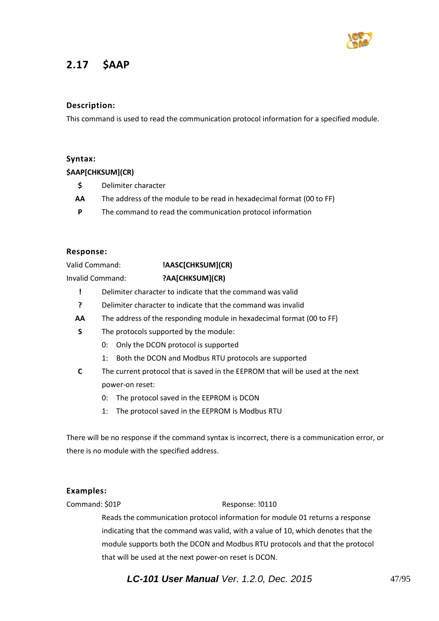

# **2.17 \$AAP**

#### **Description:**

This command is used to read the communication protocol information for a specified module.

#### **Syntax:**

#### **\$AAP[CHKSUM](CR)**

- **\$** Delimiter character
- **AA** The address of the module to be read in hexadecimal format (00 to FF)
- **P** The command to read the communication protocol information

#### **Response:**

| Valid Command:  |                                        | !AASC[CHKSUM](CR)                                                              |
|-----------------|----------------------------------------|--------------------------------------------------------------------------------|
|                 | Invalid Command:                       | ?AA[CHKSUM](CR)                                                                |
|                 |                                        | Delimiter character to indicate that the command was valid                     |
| ?               |                                        | Delimiter character to indicate that the command was invalid                   |
| AA              |                                        | The address of the responding module in hexadecimal format (00 to FF)          |
| S               | The protocols supported by the module: |                                                                                |
|                 | 0:                                     | Only the DCON protocol is supported                                            |
| 1:              |                                        | Both the DCON and Modbus RTU protocols are supported                           |
| C               |                                        | The current protocol that is saved in the EEPROM that will be used at the next |
| power-on reset: |                                        |                                                                                |
|                 | 0:                                     | The protocol saved in the EEPROM is DCON                                       |
|                 |                                        |                                                                                |

1: The protocol saved in the EEPROM is Modbus RTU

There will be no response if the command syntax is incorrect, there is a communication error, or there is no module with the specified address.

#### **Examples:**

#### Command: \$01P Response: !0110

 Reads the communication protocol information for module 01 returns a response indicating that the command was valid, with a value of 10, which denotes that the module supports both the DCON and Modbus RTU protocols and that the protocol that will be used at the next power-on reset is DCON.

## **LC-101 User Manual** Ver. 1.2.0, Dec. 2015 47/95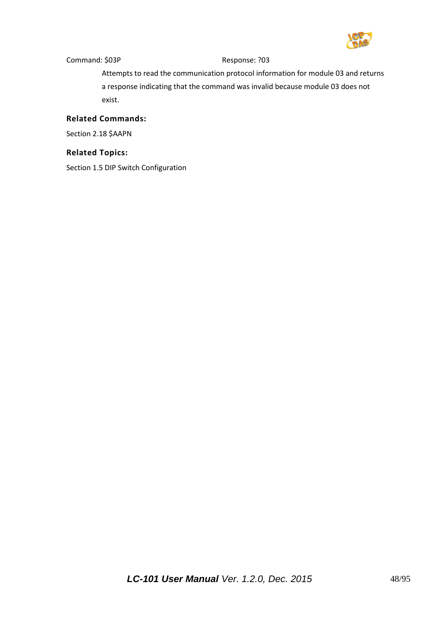

#### Command: \$03P Response: ?03

 Attempts to read the communication protocol information for module 03 and returns a response indicating that the command was invalid because module 03 does not exist.

## **Related Commands:**

Section 2.18 \$AAPN

# **Related Topics:**

Section 1.5 DIP Switch Configuration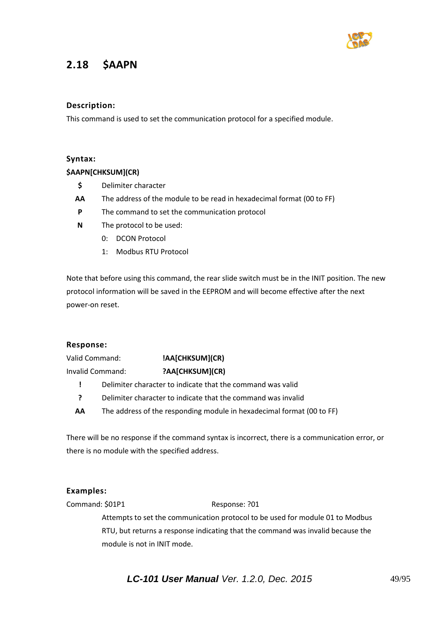

# **2.18 \$AAPN**

#### **Description:**

This command is used to set the communication protocol for a specified module.

#### **Syntax:**

#### **\$AAPN[CHKSUM](CR)**

- **\$** Delimiter character
- **AA** The address of the module to be read in hexadecimal format (00 to FF)
- **P** The command to set the communication protocol
- **N** The protocol to be used:
	- 0: DCON Protocol
	- 1: Modbus RTU Protocol

Note that before using this command, the rear slide switch must be in the INIT position. The new protocol information will be saved in the EEPROM and will become effective after the next power-on reset.

#### **Response:**

| Valid Command:   | !AA[CHKSUM](CR) |
|------------------|-----------------|
| Invalid Command: | ?AA[CHKSUM](CR) |

- **!** Delimiter character to indicate that the command was valid
- **?** Delimiter character to indicate that the command was invalid
- **AA** The address of the responding module in hexadecimal format (00 to FF)

There will be no response if the command syntax is incorrect, there is a communication error, or there is no module with the specified address.

#### **Examples:**

Command: \$01P1 Response: ?01

 Attempts to set the communication protocol to be used for module 01 to Modbus RTU, but returns a response indicating that the command was invalid because the module is not in INIT mode.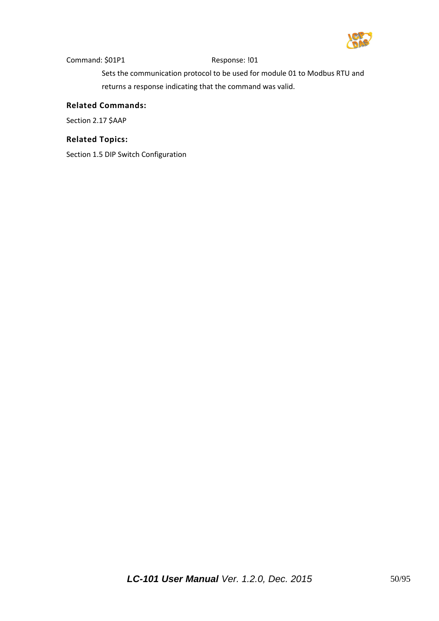

#### Command: \$01P1 Response: !01

 Sets the communication protocol to be used for module 01 to Modbus RTU and returns a response indicating that the command was valid.

## **Related Commands:**

Section 2.17 \$AAP

# **Related Topics:**

Section 1.5 DIP Switch Configuration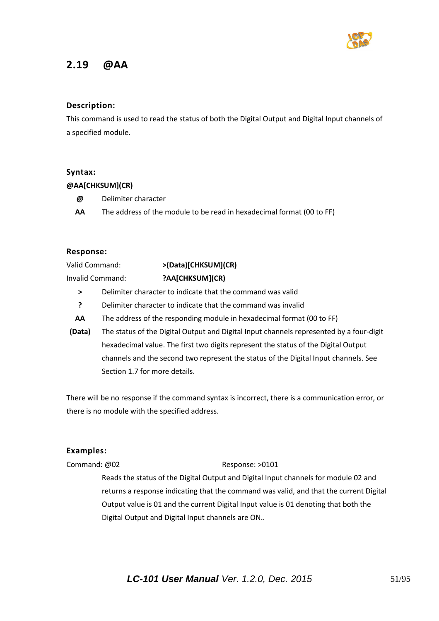

# **2.19 @AA**

#### **Description:**

This command is used to read the status of both the Digital Output and Digital Input channels of a specified module.

#### **Syntax:**

## **@AA[CHKSUM](CR)**

- **@** Delimiter character
- **AA** The address of the module to be read in hexadecimal format (00 to FF)

#### **Response:**

| Valid Command:   |                                                                       | >(Data)[CHKSUM](CR) |  |  |  |  |
|------------------|-----------------------------------------------------------------------|---------------------|--|--|--|--|
| Invalid Command: |                                                                       | ?AA[CHKSUM](CR)     |  |  |  |  |
| ⋗                | Delimiter character to indicate that the command was valid            |                     |  |  |  |  |
| ?                | Delimiter character to indicate that the command was invalid          |                     |  |  |  |  |
| AA               | The address of the responding module in hexadecimal format (00 to FF) |                     |  |  |  |  |
|                  |                                                                       |                     |  |  |  |  |

**(Data)** The status of the Digital Output and Digital Input channels represented by a four-digit hexadecimal value. The first two digits represent the status of the Digital Output channels and the second two represent the status of the Digital Input channels. See Section 1.7 for more details.

There will be no response if the command syntax is incorrect, there is a communication error, or there is no module with the specified address.

#### **Examples:**

| Command: $@02$ | Response: >0101                                                  |  |
|----------------|------------------------------------------------------------------|--|
|                | Reads the status of the Digital Output and Digital Input channel |  |
|                | toturns a response indicating that the command was valid and     |  |

Is for module 02 and returns a response indicating that the command was valid, and that the current Digital Output value is 01 and the current Digital Input value is 01 denoting that both the Digital Output and Digital Input channels are ON..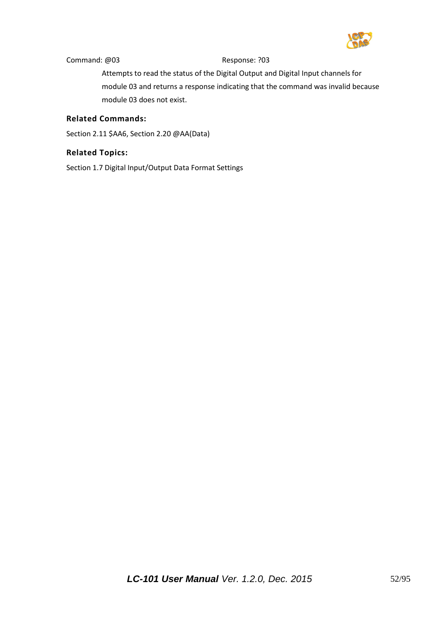

#### Command: @03 Response: ?03

 Attempts to read the status of the Digital Output and Digital Input channels for module 03 and returns a response indicating that the command was invalid because module 03 does not exist.

# **Related Commands:**

Section 2.11 \$AA6, Section 2.20 @AA(Data)

## **Related Topics:**

Section 1.7 Digital Input/Output Data Format Settings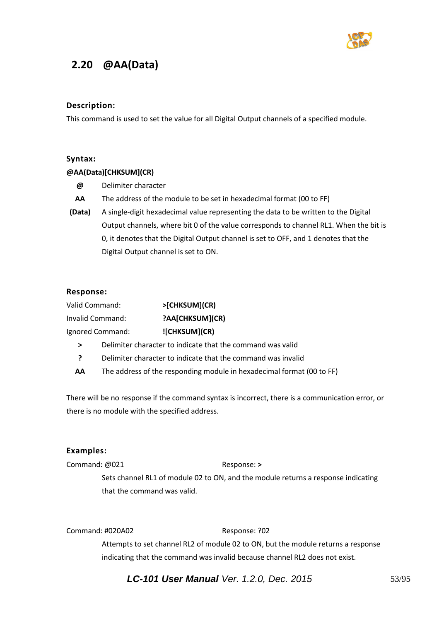

# **2.20 @AA(Data)**

#### **Description:**

This command is used to set the value for all Digital Output channels of a specified module.

#### **Syntax:**

#### **@AA(Data)[CHKSUM](CR)**

- **@** Delimiter character
- **AA** The address of the module to be set in hexadecimal format (00 to FF)
- **(Data)** A single-digit hexadecimal value representing the data to be written to the Digital Output channels, where bit 0 of the value corresponds to channel RL1. When the bit is 0, it denotes that the Digital Output channel is set to OFF, and 1 denotes that the Digital Output channel is set to ON.

#### **Response:**

| Valid Command:   | >[CHKSUM](CR)   |
|------------------|-----------------|
| Invalid Command: | ?AA[CHKSUM](CR) |
| Ignored Command: | ![CHKSUM](CR)   |

- **>** Delimiter character to indicate that the command was valid
- **?** Delimiter character to indicate that the command was invalid
- **AA** The address of the responding module in hexadecimal format (00 to FF)

There will be no response if the command syntax is incorrect, there is a communication error, or there is no module with the specified address.

#### **Examples:**

Command: @021 Response: > Sets channel RL1 of module 02 to ON, and the module returns a response indicating that the command was valid.

Command: #020A02 Response: ?02 Attempts to set channel RL2 of module 02 to ON, but the module returns a response indicating that the command was invalid because channel RL2 does not exist.

# **LC-101 User Manual** Ver. 1.2.0, Dec. 2015 53/95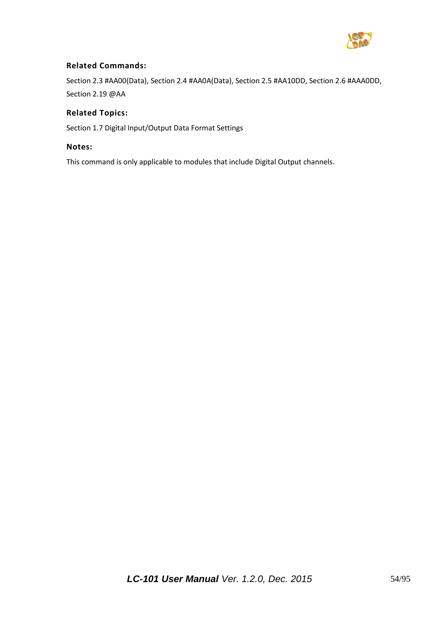

### **Related Commands:**

Section 2.3 #AA00(Data), Section 2.4 #AA0A(Data), Section 2.5 #AA10DD, Section 2.6 #AAA0DD, Section 2.19 @AA

#### **Related Topics:**

Section 1.7 Digital Input/Output Data Format Settings

#### **Notes:**

This command is only applicable to modules that include Digital Output channels.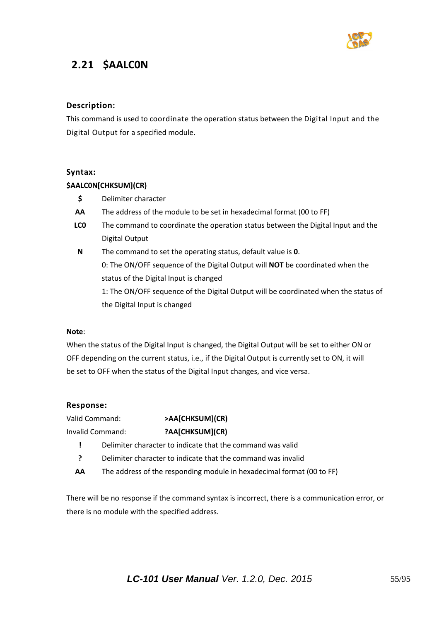

# **2.21 \$AALC0N**

#### **Description:**

This command is used to coordinate the operation status between the Digital Input and the Digital Output for a specified module.

### **Syntax:**

#### **\$AALC0N[CHKSUM](CR)**

- **\$** Delimiter character
- **AA** The address of the module to be set in hexadecimal format (00 to FF)
- **LC0** The command to coordinate the operation status between the Digital Input and the Digital Output
- **N** The command to set the operating status, default value is **0**. 0: The ON/OFF sequence of the Digital Output will **NOT** be coordinated when the status of the Digital Input is changed 1: The ON/OFF sequence of the Digital Output will be coordinated when the status of the Digital Input is changed

#### **Note**:

When the status of the Digital Input is changed, the Digital Output will be set to either ON or OFF depending on the current status, i.e., if the Digital Output is currently set to ON, it will be set to OFF when the status of the Digital Input changes, and vice versa.

#### **Response:**

| Valid Command: |                  | >AA[CHKSUM](CR)                                            |
|----------------|------------------|------------------------------------------------------------|
|                | Invalid Command: | ?AA[CHKSUM](CR)                                            |
|                |                  | Delimiter character to indicate that the command was valid |

- **?** Delimiter character to indicate that the command was invalid
- **AA** The address of the responding module in hexadecimal format (00 to FF)

There will be no response if the command syntax is incorrect, there is a communication error, or there is no module with the specified address.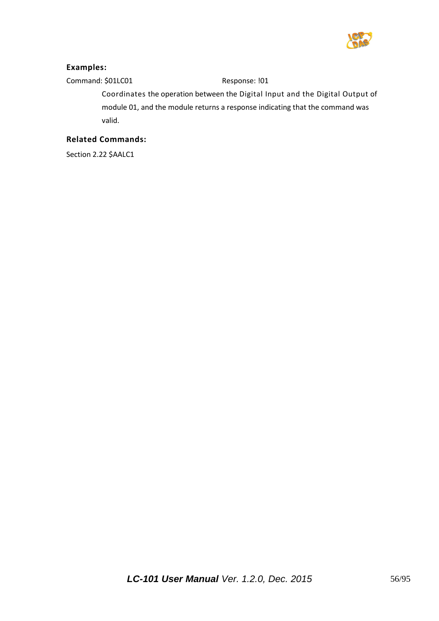

# **Examples:**

Command: \$01LC01 Response: !01

Coordinates the operation between the Digital Input and the Digital Output of module 01, and the module returns a response indicating that the command was valid.

## **Related Commands:**

Section 2.22 \$AALC1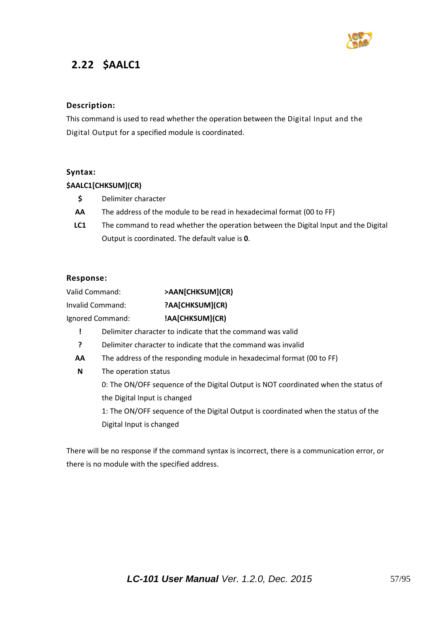

# **2.22 \$AALC1**

#### **Description:**

This command is used to read whether the operation between the Digital Input and the Digital Output for a specified module is coordinated.

#### **Syntax:**

#### **\$AALC1[CHKSUM](CR)**

- **\$** Delimiter character
- **AA** The address of the module to be read in hexadecimal format (00 to FF)
- **LC1** The command to read whether the operation between the Digital Input and the Digital Output is coordinated. The default value is **0**.

#### **Response:**

| Valid Command:   | >AAN[CHKSUM](CR) |
|------------------|------------------|
| Invalid Command: | ?AA[CHKSUM](CR)  |
| Ignored Command: | !AA[CHKSUM](CR)  |

- **!** Delimiter character to indicate that the command was valid
- **?** Delimiter character to indicate that the command was invalid
- **AA** The address of the responding module in hexadecimal format (00 to FF)
- **N** The operation status

0: The ON/OFF sequence of the Digital Output is NOT coordinated when the status of the Digital Input is changed

1: The ON/OFF sequence of the Digital Output is coordinated when the status of the Digital Input is changed

There will be no response if the command syntax is incorrect, there is a communication error, or there is no module with the specified address.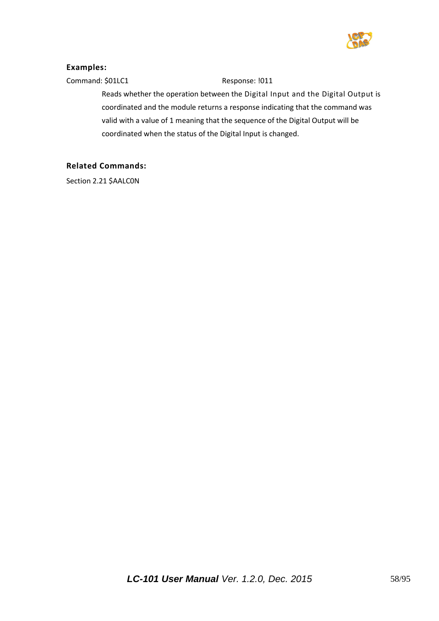

## **Examples:**

Command: \$01LC1 Response: !011

 Reads whether the operation between the Digital Input and the Digital Output is coordinated and the module returns a response indicating that the command was valid with a value of 1 meaning that the sequence of the Digital Output will be coordinated when the status of the Digital Input is changed.

### **Related Commands:**

Section 2.21 \$AALC0N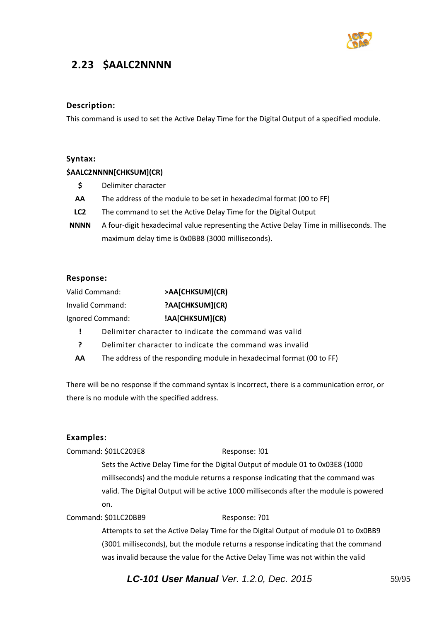

# **2.23 \$AALC2NNNN**

#### **Description:**

This command is used to set the Active Delay Time for the Digital Output of a specified module.

#### **Syntax:**

#### **\$AALC2NNNN[CHKSUM](CR)**

- **\$** Delimiter character
- **AA** The address of the module to be set in hexadecimal format (00 to FF)
- **LC2** The command to set the Active Delay Time for the Digital Output
- **NNNN** A four-digit hexadecimal value representing the Active Delay Time in milliseconds. The maximum delay time is 0x0BB8 (3000 milliseconds).

#### **Response:**

| Valid Command:   | >AA[CHKSUM](CR) |
|------------------|-----------------|
| Invalid Command: | ?AA[CHKSUM](CR) |
| Ignored Command: | !AA[CHKSUM](CR) |

- **!** Delimiter character to indicate the command was valid
- **?** Delimiter character to indicate the command was invalid
- **AA** The address of the responding module in hexadecimal format (00 to FF)

There will be no response if the command syntax is incorrect, there is a communication error, or there is no module with the specified address.

#### **Examples:**

| Command: \$01LC203E8 | Response: !01                                                                          |
|----------------------|----------------------------------------------------------------------------------------|
|                      | Sets the Active Delay Time for the Digital Output of module 01 to 0x03E8 (1000         |
|                      | milliseconds) and the module returns a response indicating that the command was        |
|                      | valid. The Digital Output will be active 1000 milliseconds after the module is powered |
| on.                  |                                                                                        |
| Command: \$01LC20BB9 | Response: ?01                                                                          |
|                      | Attempts to set the Active Delay Time for the Digital Output of module 01 to 0x0BB9    |
|                      | (3001 milliseconds), but the module returns a response indicating that the command     |
|                      |                                                                                        |

## **LC-101 User Manual** Ver. 1.2.0, Dec. 2015 59/95

was invalid because the value for the Active Delay Time was not within the valid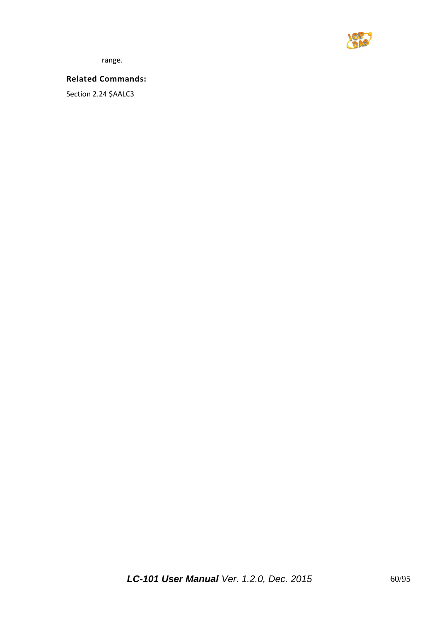

range.

# **Related Commands:**

Section 2.24 \$AALC3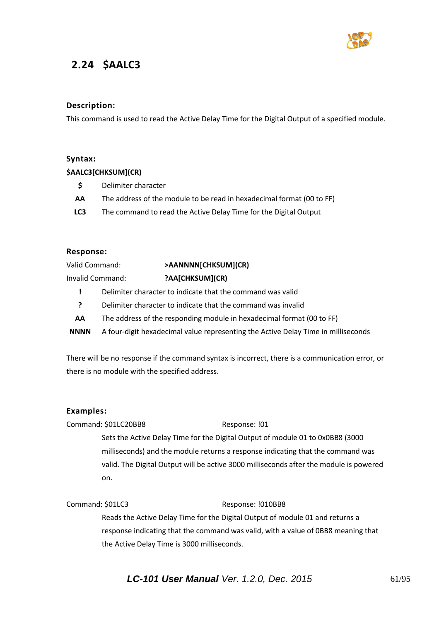

# **2.24 \$AALC3**

#### **Description:**

This command is used to read the Active Delay Time for the Digital Output of a specified module.

#### **Syntax:**

#### **\$AALC3[CHKSUM](CR)**

- **\$** Delimiter character
- **AA** The address of the module to be read in hexadecimal format (00 to FF)
- **LC3** The command to read the Active Delay Time for the Digital Output

#### **Response:**

| Valid Command:   |                                                              | >AANNNN[CHKSUM](CR)                                                               |  |
|------------------|--------------------------------------------------------------|-----------------------------------------------------------------------------------|--|
| Invalid Command: |                                                              | ?AA[CHKSUM](CR)                                                                   |  |
|                  |                                                              | Delimiter character to indicate that the command was valid                        |  |
| ?                | Delimiter character to indicate that the command was invalid |                                                                                   |  |
| AA               |                                                              | The address of the responding module in hexadecimal format (00 to FF)             |  |
| <b>NNNN</b>      |                                                              | A four-digit hexadecimal value representing the Active Delay Time in milliseconds |  |

There will be no response if the command syntax is incorrect, there is a communication error, or there is no module with the specified address.

## **Examples:**

| Command: \$01LC20BB8 | Response: !01                                                                          |
|----------------------|----------------------------------------------------------------------------------------|
|                      | Sets the Active Delay Time for the Digital Output of module 01 to 0x0BB8 (3000)        |
|                      | milliseconds) and the module returns a response indicating that the command was        |
|                      | valid. The Digital Output will be active 3000 milliseconds after the module is powered |
| on.                  |                                                                                        |

Command: \$01LC3 Response: !010BB8 Reads the Active Delay Time for the Digital Output of module 01 and returns a response indicating that the command was valid, with a value of 0BB8 meaning that the Active Delay Time is 3000 milliseconds.

# **LC-101 User Manual** Ver. 1.2.0, Dec. 2015 61/95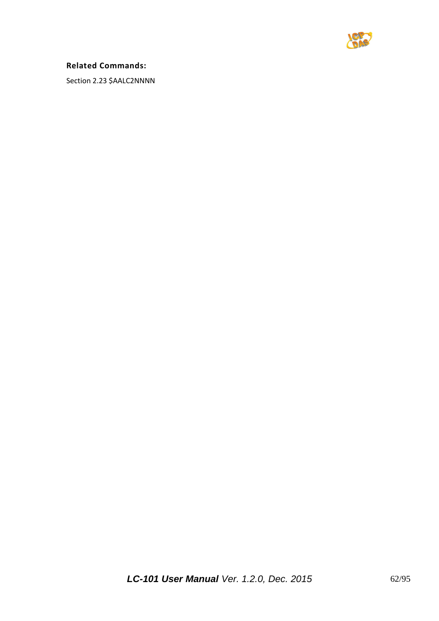

## **Related Commands:**

Section 2.23 \$AALC2NNNN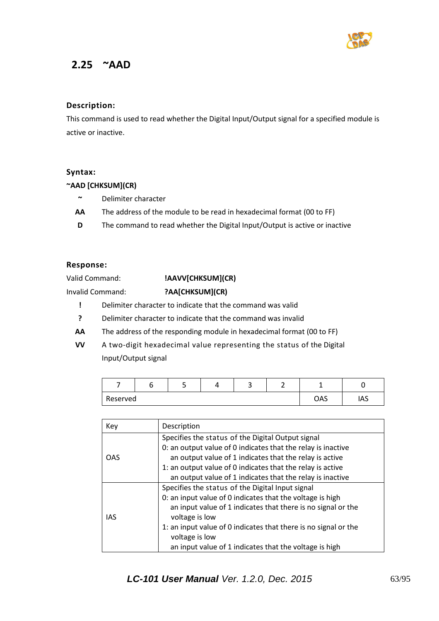

# **2.25 ~AAD**

#### **Description:**

This command is used to read whether the Digital Input/Output signal for a specified module is active or inactive.

#### **Syntax:**

#### **~AAD [CHKSUM](CR)**

- **~** Delimiter character
- **AA** The address of the module to be read in hexadecimal format (00 to FF)
- **D** The command to read whether the Digital Input/Output is active or inactive

#### **Response:**

Valid Command: **!AAVV[CHKSUM](CR)** 

Invalid Command: **?AA[CHKSUM](CR)** 

**!** Delimiter character to indicate that the command was valid

- **?** Delimiter character to indicate that the command was invalid
- **AA** The address of the responding module in hexadecimal format (00 to FF)
- **VV** A two-digit hexadecimal value representing the status of the Digital Input/Output signal

|          | ۔ | . . | - |     |     |
|----------|---|-----|---|-----|-----|
| Reserved |   |     |   | OAS | IAS |

| Key        | Description                                                     |
|------------|-----------------------------------------------------------------|
|            | Specifies the status of the Digital Output signal               |
|            | 0: an output value of 0 indicates that the relay is inactive    |
| <b>OAS</b> | an output value of 1 indicates that the relay is active         |
|            | 1: an output value of 0 indicates that the relay is active      |
|            | an output value of 1 indicates that the relay is inactive       |
|            | Specifies the status of the Digital Input signal                |
|            | 0: an input value of 0 indicates that the voltage is high       |
|            | an input value of 1 indicates that there is no signal or the    |
| <b>IAS</b> | voltage is low                                                  |
|            | 1: an input value of 0 indicates that there is no signal or the |
|            | voltage is low                                                  |
|            | an input value of 1 indicates that the voltage is high          |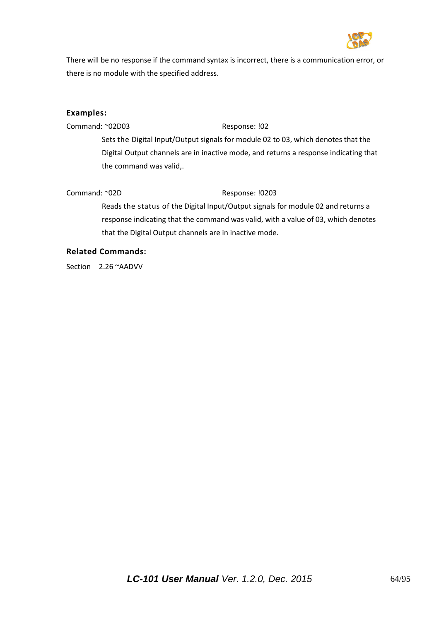

There will be no response if the command syntax is incorrect, there is a communication error, or there is no module with the specified address.

#### **Examples:**

Command: ~02D03 Response: !02

 Sets the Digital Input/Output signals for module 02 to 03, which denotes that the Digital Output channels are in inactive mode, and returns a response indicating that the command was valid,.

Command: ~02D Response: !0203

 Reads the status of the Digital Input/Output signals for module 02 and returns a response indicating that the command was valid, with a value of 03, which denotes that the Digital Output channels are in inactive mode.

### **Related Commands:**

Section 2.26 ~AADVV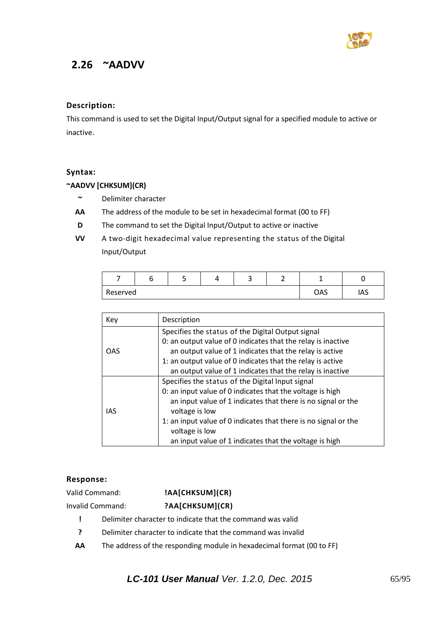

# **2.26 ~AADVV**

#### **Description:**

This command is used to set the Digital Input/Output signal for a specified module to active or inactive.

#### **Syntax:**

#### **~AADVV [CHKSUM](CR)**

- **~** Delimiter character
- **AA** The address of the module to be set in hexadecimal format (00 to FF)
- **D** The command to set the Digital Input/Output to active or inactive
- **VV** A two-digit hexadecimal value representing the status of the Digital Input/Output

| Reserved |  |  | OAS | ıAS |
|----------|--|--|-----|-----|

| Key        | Description                                                     |
|------------|-----------------------------------------------------------------|
|            | Specifies the status of the Digital Output signal               |
|            | 0: an output value of 0 indicates that the relay is inactive    |
| <b>OAS</b> | an output value of 1 indicates that the relay is active         |
|            | 1: an output value of 0 indicates that the relay is active      |
|            | an output value of 1 indicates that the relay is inactive       |
|            | Specifies the status of the Digital Input signal                |
|            | 0: an input value of 0 indicates that the voltage is high       |
|            | an input value of 1 indicates that there is no signal or the    |
| IAS        | voltage is low                                                  |
|            | 1: an input value of 0 indicates that there is no signal or the |
|            | voltage is low                                                  |
|            | an input value of 1 indicates that the voltage is high          |

#### **Response:**

| Valid Command:   | !AA[CHKSUM](CR) |
|------------------|-----------------|
| Invalid Command: | ?AA[CHKSUM](CR) |

- **!** Delimiter character to indicate that the command was valid
- **?** Delimiter character to indicate that the command was invalid
- **AA** The address of the responding module in hexadecimal format (00 to FF)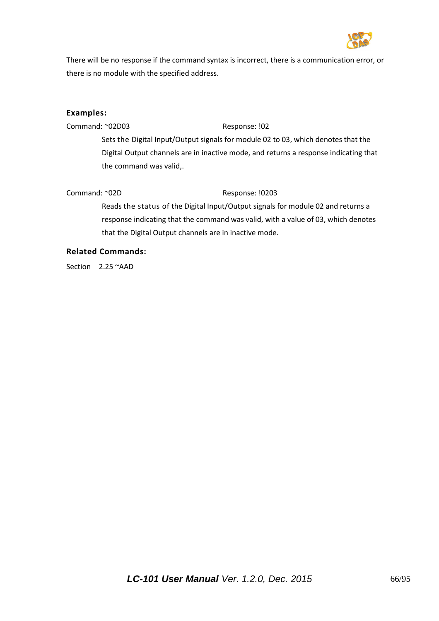

There will be no response if the command syntax is incorrect, there is a communication error, or there is no module with the specified address.

## **Examples:**

Command: ~02D03 Response: !02

 Sets the Digital Input/Output signals for module 02 to 03, which denotes that the Digital Output channels are in inactive mode, and returns a response indicating that the command was valid,.

Command: ~02D Response: !0203

 Reads the status of the Digital Input/Output signals for module 02 and returns a response indicating that the command was valid, with a value of 03, which denotes that the Digital Output channels are in inactive mode.

### **Related Commands:**

Section 2.25 ~AAD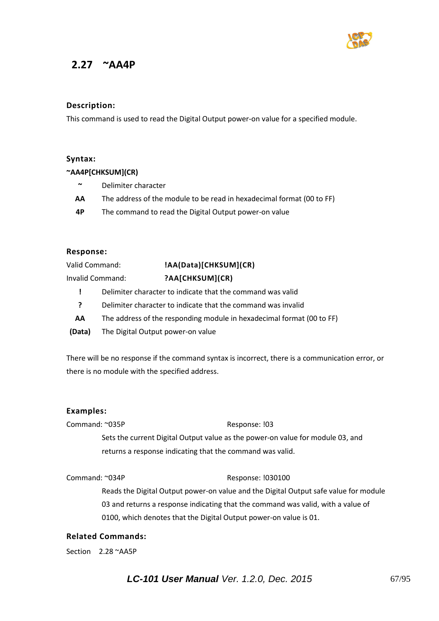

# **2.27 ~AA4P**

#### **Description:**

This command is used to read the Digital Output power-on value for a specified module.

#### **Syntax:**

#### **~AA4P[CHKSUM](CR)**

- **~** Delimiter character
- **AA** The address of the module to be read in hexadecimal format (00 to FF)
- **4P** The command to read the Digital Output power-on value

#### **Response:**

| Valid Command:   |                                                                       | !AA(Data)[CHKSUM](CR) |  |
|------------------|-----------------------------------------------------------------------|-----------------------|--|
| Invalid Command: |                                                                       | ?AA[CHKSUM](CR)       |  |
|                  | Delimiter character to indicate that the command was valid            |                       |  |
| ?                | Delimiter character to indicate that the command was invalid          |                       |  |
| AA               | The address of the responding module in hexadecimal format (00 to FF) |                       |  |
| (Data)           | The Digital Output power-on value                                     |                       |  |

There will be no response if the command syntax is incorrect, there is a communication error, or there is no module with the specified address.

## **Examples:**

Command: ~035P Response: !03

 Sets the current Digital Output value as the power-on value for module 03, and returns a response indicating that the command was valid.

Command: ~034P Response: !030100

 Reads the Digital Output power-on value and the Digital Output safe value for module 03 and returns a response indicating that the command was valid, with a value of 0100, which denotes that the Digital Output power-on value is 01.

#### **Related Commands:**

Section 2.28 ~AA5P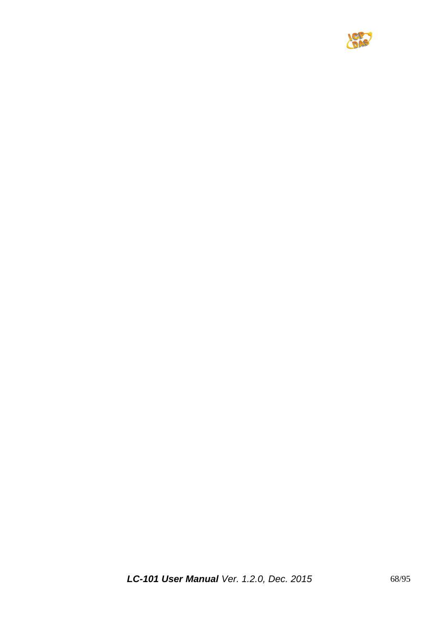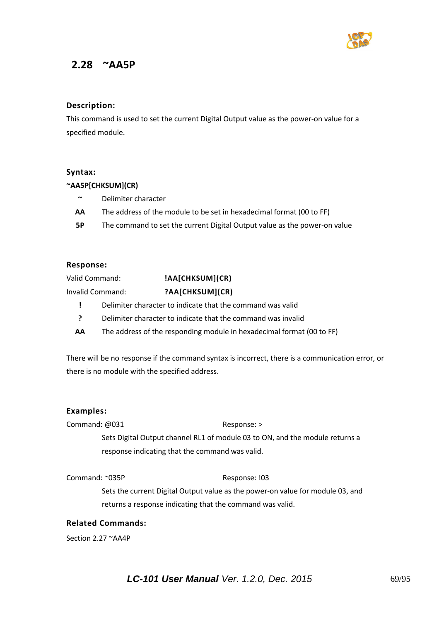

# **2.28 ~AA5P**

#### **Description:**

This command is used to set the current Digital Output value as the power-on value for a specified module.

#### **Syntax:**

#### **~AA5P[CHKSUM](CR)**

- **~** Delimiter character
- **AA** The address of the module to be set in hexadecimal format (00 to FF)
- **5P** The command to set the current Digital Output value as the power-on value

#### **Response:**

| Valid Command:<br>Invalid Command: |  | !AA[CHKSUM](CR)<br>?AA[CHKSUM](CR)                                    |  |
|------------------------------------|--|-----------------------------------------------------------------------|--|
|                                    |  |                                                                       |  |
| 2                                  |  | Delimiter character to indicate that the command was invalid          |  |
| AA                                 |  | The address of the responding module in hexadecimal format (00 to FF) |  |

There will be no response if the command syntax is incorrect, there is a communication error, or there is no module with the specified address.

#### **Examples:**

Command: @031 Response: >

 Sets Digital Output channel RL1 of module 03 to ON, and the module returns a response indicating that the command was valid.

Command: ~035P Response: !03

 Sets the current Digital Output value as the power-on value for module 03, and returns a response indicating that the command was valid.

### **Related Commands:**

Section 2.27 ~AA4P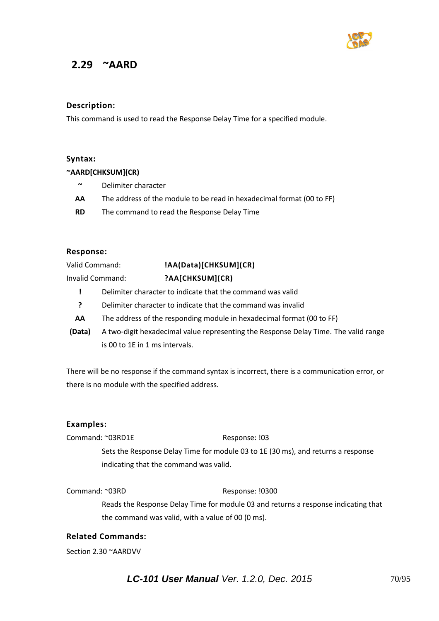

# **2.29 ~AARD**

#### **Description:**

This command is used to read the Response Delay Time for a specified module.

#### **Syntax:**

#### **~AARD[CHKSUM](CR)**

- **~** Delimiter character
- **AA** The address of the module to be read in hexadecimal format (00 to FF)
- **RD** The command to read the Response Delay Time

#### **Response:**

| Valid Command:<br>Invalid Command: |                                                                       | !AA(Data)[CHKSUM](CR)                                                               |  |
|------------------------------------|-----------------------------------------------------------------------|-------------------------------------------------------------------------------------|--|
|                                    |                                                                       | ?AA[CHKSUM](CR)                                                                     |  |
|                                    | Delimiter character to indicate that the command was valid            |                                                                                     |  |
| ?                                  | Delimiter character to indicate that the command was invalid          |                                                                                     |  |
| AA                                 | The address of the responding module in hexadecimal format (00 to FF) |                                                                                     |  |
| (Data)                             |                                                                       | A two-digit hexadecimal value representing the Response Delay Time. The valid range |  |
|                                    | is 00 to 1E in 1 ms intervals.                                        |                                                                                     |  |

There will be no response if the command syntax is incorrect, there is a communication error, or there is no module with the specified address.

#### **Examples:**

| Command: ~03RD1E | Response: !03                                                                    |
|------------------|----------------------------------------------------------------------------------|
|                  | Sets the Response Delay Time for module 03 to 1E (30 ms), and returns a response |

indicating that the command was valid.

Command: ~03RD Response: !0300 Reads the Response Delay Time for module 03 and returns a response indicating that the command was valid, with a value of 00 (0 ms).

## **Related Commands:**

Section 2.30 ~AARDVV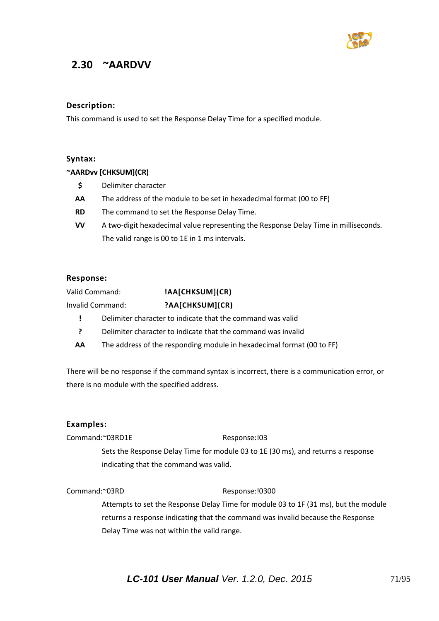

# **2.30 ~AARDVV**

#### **Description:**

This command is used to set the Response Delay Time for a specified module.

#### **Syntax:**

#### **~AARDvv [CHKSUM](CR)**

- **\$** Delimiter character
- **AA** The address of the module to be set in hexadecimal format (00 to FF)
- **RD** The command to set the Response Delay Time.
- **VV** A two-digit hexadecimal value representing the Response Delay Time in milliseconds. The valid range is 00 to 1E in 1 ms intervals.

#### **Response:**

| Valid Command: |                                                            | !AA[CHKSUM](CR)                                              |  |
|----------------|------------------------------------------------------------|--------------------------------------------------------------|--|
|                | Invalid Command:                                           | ?AA[CHKSUM](CR)                                              |  |
|                | Delimiter character to indicate that the command was valid |                                                              |  |
| Σ.             |                                                            | Delimiter character to indicate that the command was invalid |  |

**AA** The address of the responding module in hexadecimal format (00 to FF)

There will be no response if the command syntax is incorrect, there is a communication error, or there is no module with the specified address.

#### **Examples:**

| Command:~03RD1E | Response: !03 |
|-----------------|---------------|
|-----------------|---------------|

 Sets the Response Delay Time for module 03 to 1E (30 ms), and returns a response indicating that the command was valid.

Command:~03RD Response:!0300 Attempts to set the Response Delay Time for module 03 to 1F (31 ms), but the module returns a response indicating that the command was invalid because the Response Delay Time was not within the valid range.

## **LC-101 User Manual** Ver. 1.2.0, Dec. 2015 71/95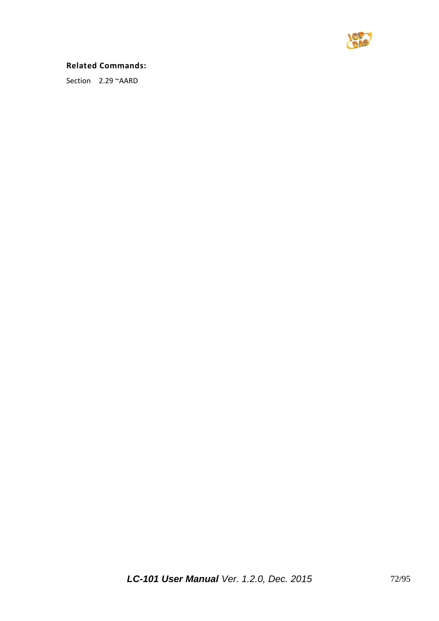

## **Related Commands:**

Section 2.29 ~AARD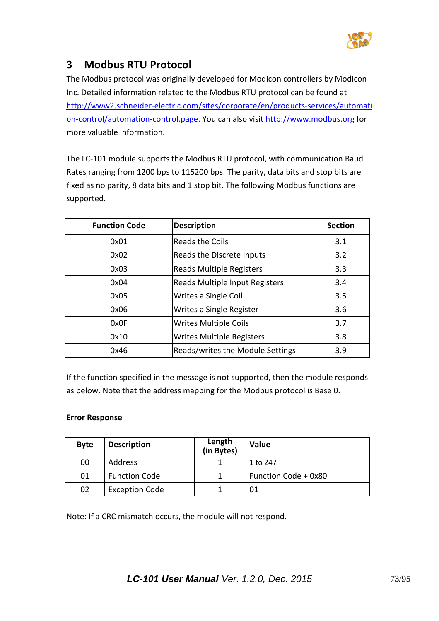

# **3 Modbus RTU Protocol**

The Modbus protocol was originally developed for Modicon controllers by Modicon Inc. Detailed information related to the Modbus RTU protocol can be found at http://www2.schneider-electric.com/sites/corporate/en/products-services/automati on-control/automation-control.page. You can also visit http://www.modbus.org for more valuable information.

The LC-101 module supports the Modbus RTU protocol, with communication Baud Rates ranging from 1200 bps to 115200 bps. The parity, data bits and stop bits are fixed as no parity, 8 data bits and 1 stop bit. The following Modbus functions are supported.

| <b>Function Code</b> | <b>Description</b>               | <b>Section</b> |
|----------------------|----------------------------------|----------------|
| 0x01                 | Reads the Coils                  | 3.1            |
| 0x02                 | Reads the Discrete Inputs        | 3.2            |
| 0x03                 | <b>Reads Multiple Registers</b>  | 3.3            |
| 0x04                 | Reads Multiple Input Registers   | 3.4            |
| 0x05                 | Writes a Single Coil             | 3.5            |
| 0x06                 | Writes a Single Register         | 3.6            |
| 0x0F                 | <b>Writes Multiple Coils</b>     | 3.7            |
| 0x10                 | <b>Writes Multiple Registers</b> | 3.8            |
| 0x46                 | Reads/writes the Module Settings | 3.9            |

If the function specified in the message is not supported, then the module responds as below. Note that the address mapping for the Modbus protocol is Base 0.

#### **Error Response**

| <b>Byte</b> | <b>Description</b>    | Length<br>(in Bytes) | <b>Value</b>         |
|-------------|-----------------------|----------------------|----------------------|
| 00          | Address               |                      | 1 to 247             |
| 01          | <b>Function Code</b>  |                      | Function Code + 0x80 |
| 02          | <b>Exception Code</b> |                      | 01                   |

Note: If a CRC mismatch occurs, the module will not respond.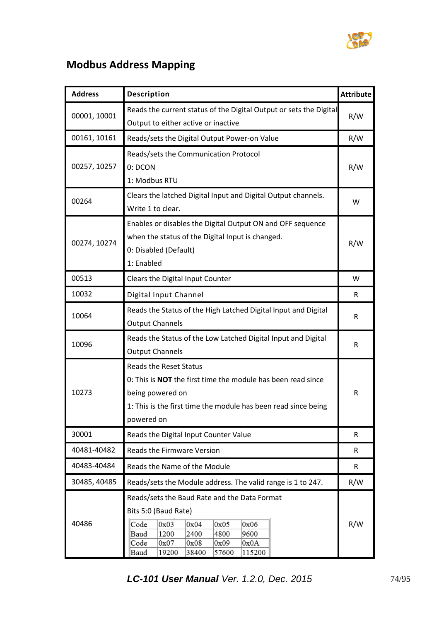

# **Modbus Address Mapping**

| <b>Address</b> | <b>Description</b>                                                                                                                                                                                                                                      | <b>Attribute</b> |  |
|----------------|---------------------------------------------------------------------------------------------------------------------------------------------------------------------------------------------------------------------------------------------------------|------------------|--|
| 00001, 10001   | Reads the current status of the Digital Output or sets the Digital<br>Output to either active or inactive                                                                                                                                               | R/W              |  |
| 00161, 10161   | Reads/sets the Digital Output Power-on Value                                                                                                                                                                                                            | R/W              |  |
| 00257, 10257   | Reads/sets the Communication Protocol<br>0: DCON<br>1: Modbus RTU                                                                                                                                                                                       |                  |  |
| 00264          | Clears the latched Digital Input and Digital Output channels.<br>Write 1 to clear.                                                                                                                                                                      | W                |  |
| 00274, 10274   | Enables or disables the Digital Output ON and OFF sequence<br>when the status of the Digital Input is changed.<br>0: Disabled (Default)<br>1: Enabled                                                                                                   | R/W              |  |
| 00513          | Clears the Digital Input Counter                                                                                                                                                                                                                        | W                |  |
| 10032          | Digital Input Channel                                                                                                                                                                                                                                   | R                |  |
| 10064          | Reads the Status of the High Latched Digital Input and Digital<br><b>Output Channels</b>                                                                                                                                                                |                  |  |
| 10096          | Reads the Status of the Low Latched Digital Input and Digital<br><b>Output Channels</b>                                                                                                                                                                 |                  |  |
| 10273          | <b>Reads the Reset Status</b><br>0: This is <b>NOT</b> the first time the module has been read since<br>being powered on<br>1: This is the first time the module has been read since being<br>powered on                                                |                  |  |
| 30001          | Reads the Digital Input Counter Value                                                                                                                                                                                                                   |                  |  |
| 40481-40482    | Reads the Firmware Version                                                                                                                                                                                                                              |                  |  |
| 40483-40484    | Reads the Name of the Module                                                                                                                                                                                                                            |                  |  |
| 30485, 40485   | Reads/sets the Module address. The valid range is 1 to 247.                                                                                                                                                                                             |                  |  |
| 40486          | R/W<br>Reads/sets the Baud Rate and the Data Format<br>Bits 5:0 (Baud Rate)<br>R/W<br>Code<br>0x03<br>0x04<br>0x06<br>0x05<br>1200<br>2400<br>9600<br>Baud<br>4800<br>0x07<br>Code<br>0x08<br>0x09<br>0x0A<br>19200<br>57600<br>115200<br>Baud<br>38400 |                  |  |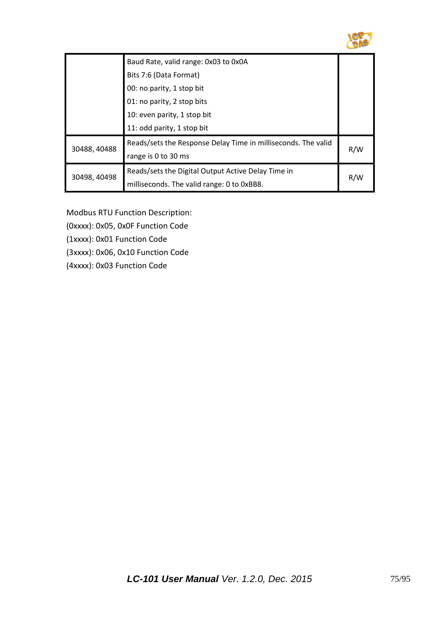

|                            | Baud Rate, valid range: 0x03 to 0x0A                          |     |
|----------------------------|---------------------------------------------------------------|-----|
|                            | Bits 7:6 (Data Format)                                        |     |
|                            | 00: no parity, 1 stop bit                                     |     |
|                            | 01: no parity, 2 stop bits                                    |     |
|                            | 10: even parity, 1 stop bit                                   |     |
| 11: odd parity, 1 stop bit |                                                               |     |
| 30488, 40488               | Reads/sets the Response Delay Time in milliseconds. The valid |     |
|                            | range is 0 to 30 ms                                           | R/W |
|                            | Reads/sets the Digital Output Active Delay Time in            |     |
| 30498, 40498               | milliseconds. The valid range: 0 to 0xBB8.                    | R/W |

Modbus RTU Function Description:

(0xxxx): 0x05, 0x0F Function Code

(1xxxx): 0x01 Function Code

(3xxxx): 0x06, 0x10 Function Code

(4xxxx): 0x03 Function Code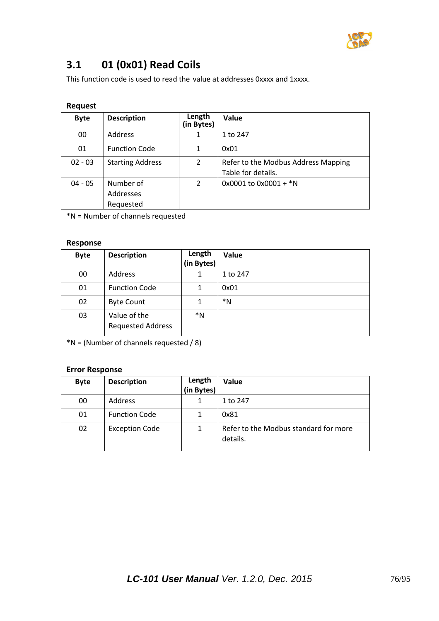

# **3.1 01 (0x01) Read Coils**

This function code is used to read the value at addresses 0xxxx and 1xxxx.

## **Request**

| <b>Byte</b> | <b>Description</b>                  | Length<br>(in Bytes) | Value                                                     |
|-------------|-------------------------------------|----------------------|-----------------------------------------------------------|
| 00          | Address                             |                      | 1 to 247                                                  |
| 01          | <b>Function Code</b>                |                      | 0x01                                                      |
| $02 - 03$   | <b>Starting Address</b>             | 2                    | Refer to the Modbus Address Mapping<br>Table for details. |
| $04 - 05$   | Number of<br>Addresses<br>Requested | 2                    | $0x0001$ to $0x0001 + *N$                                 |

\*N = Number of channels requested

#### **Response**

| <b>Byte</b> | <b>Description</b>                       | Length<br>(in Bytes) | Value    |
|-------------|------------------------------------------|----------------------|----------|
| 00          | Address                                  | 1                    | 1 to 247 |
| 01          | <b>Function Code</b>                     | 1                    | 0x01     |
| 02          | <b>Byte Count</b>                        | 1                    | *N       |
| 03          | Value of the<br><b>Requested Address</b> | $*_{N}$              |          |

\*N = (Number of channels requested / 8)

| <b>Byte</b> | <b>Description</b>    | Length     | Value                                             |
|-------------|-----------------------|------------|---------------------------------------------------|
|             |                       | (in Bytes) |                                                   |
| 00          | Address               |            | 1 to 247                                          |
| 01          | <b>Function Code</b>  |            | 0x81                                              |
| 02          | <b>Exception Code</b> |            | Refer to the Modbus standard for more<br>details. |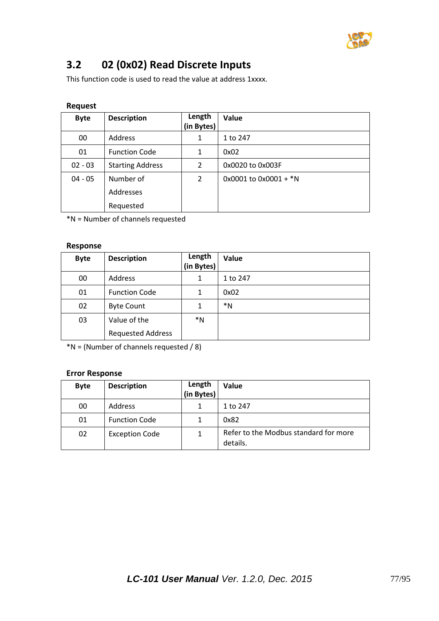

# **3.2 02 (0x02) Read Discrete Inputs**

This function code is used to read the value at address 1xxxx.

## **Request**

| <b>Byte</b> | <b>Description</b>      | Length<br>(in Bytes) | Value                     |
|-------------|-------------------------|----------------------|---------------------------|
| 00          | Address                 | 1                    | 1 to 247                  |
| 01          | <b>Function Code</b>    | 1                    | 0x02                      |
| $02 - 03$   | <b>Starting Address</b> | 2                    | 0x0020 to 0x003F          |
| $04 - 05$   | Number of               | $\overline{2}$       | $0x0001$ to $0x0001 + *N$ |
|             | Addresses               |                      |                           |
|             | Requested               |                      |                           |

\*N = Number of channels requested

#### **Response**

| <b>Byte</b> | <b>Description</b>       | Length<br>(in Bytes) | Value    |
|-------------|--------------------------|----------------------|----------|
| 00          | Address                  | 1                    | 1 to 247 |
| 01          | <b>Function Code</b>     | 1                    | 0x02     |
| 02          | <b>Byte Count</b>        | 1                    | *N       |
| 03          | Value of the             | *N                   |          |
|             | <b>Requested Address</b> |                      |          |

 $*N = (Number of channels requested / 8)$ 

| <b>Byte</b> | <b>Description</b>    | Length<br>(in Bytes) | Value                                             |
|-------------|-----------------------|----------------------|---------------------------------------------------|
| 00          | Address               |                      | 1 to 247                                          |
| 01          | <b>Function Code</b>  | 1                    | 0x82                                              |
| 02          | <b>Exception Code</b> |                      | Refer to the Modbus standard for more<br>details. |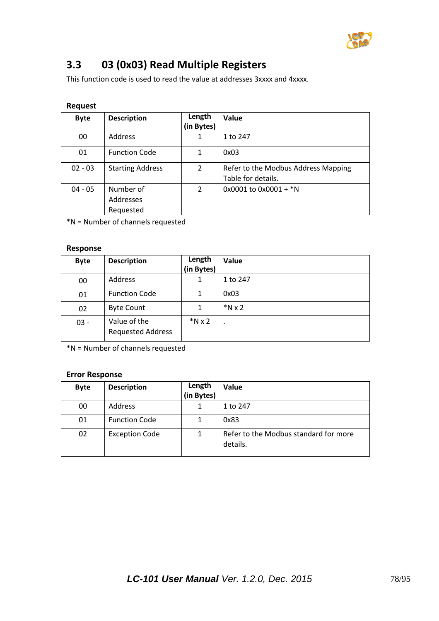

# **3.3 03 (0x03) Read Multiple Registers**

This function code is used to read the value at addresses 3xxxx and 4xxxx.

## **Request**

| <b>Byte</b> | <b>Description</b>      | Length         | Value                               |
|-------------|-------------------------|----------------|-------------------------------------|
|             |                         | (in Bytes)     |                                     |
| 00          | Address                 |                | 1 to 247                            |
| 01          | <b>Function Code</b>    | 1              | 0x03                                |
| $02 - 03$   | <b>Starting Address</b> | $\overline{2}$ | Refer to the Modbus Address Mapping |
|             |                         |                | Table for details.                  |
| $04 - 05$   | Number of               | $\overline{2}$ | 0x0001 to 0x0001 + *N               |
|             | Addresses               |                |                                     |
|             | Requested               |                |                                     |

\*N = Number of channels requested

### **Response**

| <b>Byte</b> | <b>Description</b>                       | Length<br>(in Bytes) | Value         |
|-------------|------------------------------------------|----------------------|---------------|
| 00          | Address                                  | 1                    | 1 to 247      |
| 01          | <b>Function Code</b>                     | 1                    | 0x03          |
| 02          | <b>Byte Count</b>                        | 1                    | $*N \times 2$ |
| $03 -$      | Value of the<br><b>Requested Address</b> | $*N \times 2$        | ٠             |

\*N = Number of channels requested

| <b>Byte</b> | <b>Description</b>    | Length     | Value                                             |
|-------------|-----------------------|------------|---------------------------------------------------|
|             |                       | (in Bytes) |                                                   |
| 00          | Address               |            | 1 to 247                                          |
| 01          | <b>Function Code</b>  |            | 0x83                                              |
| 02          | <b>Exception Code</b> | 1          | Refer to the Modbus standard for more<br>details. |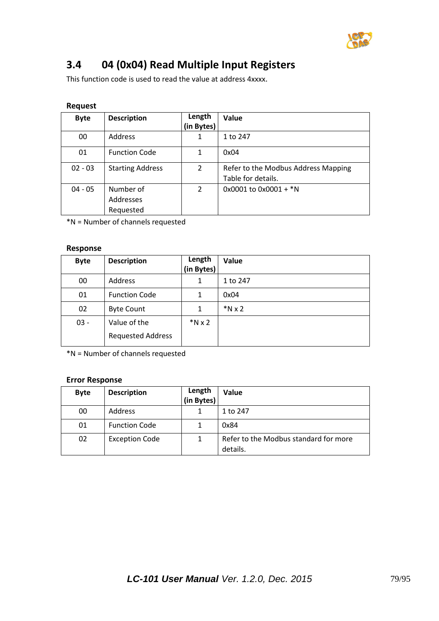

# **3.4 04 (0x04) Read Multiple Input Registers**

This function code is used to read the value at address 4xxxx.

## **Request**

| <b>Byte</b> | <b>Description</b>      | Length         | Value                               |
|-------------|-------------------------|----------------|-------------------------------------|
|             |                         | (in Bytes)     |                                     |
| 00          | Address                 |                | 1 to 247                            |
| 01          | <b>Function Code</b>    | 1              | 0x04                                |
| $02 - 03$   | <b>Starting Address</b> | $\overline{2}$ | Refer to the Modbus Address Mapping |
|             |                         |                | Table for details.                  |
| $04 - 05$   | Number of               | $\overline{2}$ | $0x0001$ to $0x0001 + *N$           |
|             | Addresses               |                |                                     |
|             | Requested               |                |                                     |

\*N = Number of channels requested

## **Response**

| <b>Byte</b> | <b>Description</b>       | Length<br>(in Bytes) | Value         |
|-------------|--------------------------|----------------------|---------------|
| 00          | Address                  | 1                    | 1 to 247      |
| 01          | <b>Function Code</b>     | 1                    | 0x04          |
| 02          | <b>Byte Count</b>        | 1                    | $*N \times 2$ |
| $03 -$      | Value of the             | $*N \times 2$        |               |
|             | <b>Requested Address</b> |                      |               |

\*N = Number of channels requested

| <b>Byte</b> | <b>Description</b>    | Length<br>(in Bytes) | Value                                             |
|-------------|-----------------------|----------------------|---------------------------------------------------|
| 00          | Address               |                      | 1 to 247                                          |
| 01          | <b>Function Code</b>  |                      | 0x84                                              |
| 02          | <b>Exception Code</b> | 1                    | Refer to the Modbus standard for more<br>details. |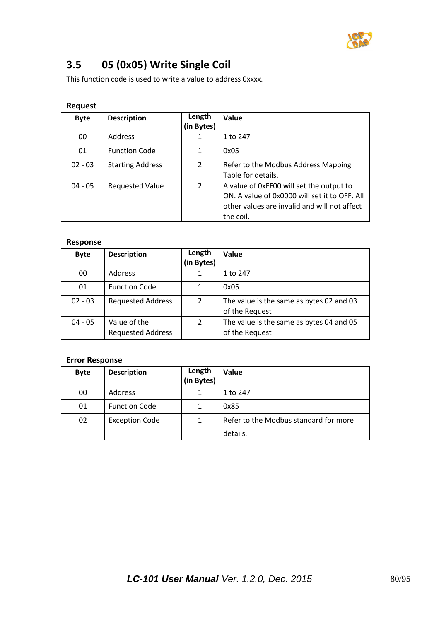

# **3.5 05 (0x05) Write Single Coil**

This function code is used to write a value to address 0xxxx.

## **Request**

| <b>Byte</b> | <b>Description</b>      | Length<br>(in Bytes) | Value                                                                                                                                                  |
|-------------|-------------------------|----------------------|--------------------------------------------------------------------------------------------------------------------------------------------------------|
| 00          | Address                 | 1                    | 1 to 247                                                                                                                                               |
| 01          | <b>Function Code</b>    | 1                    | 0x05                                                                                                                                                   |
| $02 - 03$   | <b>Starting Address</b> | 2                    | Refer to the Modbus Address Mapping<br>Table for details.                                                                                              |
| $04 - 05$   | <b>Requested Value</b>  | 2                    | A value of 0xFF00 will set the output to<br>ON. A value of 0x0000 will set it to OFF. All<br>other values are invalid and will not affect<br>the coil. |

## **Response**

| <b>Byte</b> | <b>Description</b>       | Length     | Value                                    |
|-------------|--------------------------|------------|------------------------------------------|
|             |                          | (in Bytes) |                                          |
| 00          | Address                  |            | 1 to 247                                 |
| 01          | <b>Function Code</b>     |            | 0x05                                     |
| $02 - 03$   | <b>Requested Address</b> | 2          | The value is the same as bytes 02 and 03 |
|             |                          |            | of the Request                           |
| $04 - 05$   | Value of the             | 2          | The value is the same as bytes 04 and 05 |
|             | <b>Requested Address</b> |            | of the Request                           |

| <b>Byte</b> | <b>Description</b>    | Length     | Value                                 |
|-------------|-----------------------|------------|---------------------------------------|
|             |                       | (in Bytes) |                                       |
| 00          | Address               |            | 1 to 247                              |
| 01          | <b>Function Code</b>  | 1          | 0x85                                  |
| 02          | <b>Exception Code</b> | 1          | Refer to the Modbus standard for more |
|             |                       |            | details.                              |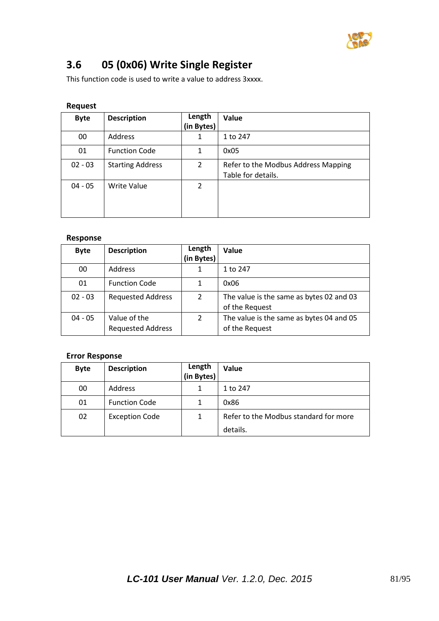

# **3.6 05 (0x06) Write Single Register**

This function code is used to write a value to address 3xxxx.

## **Request**

| <b>Byte</b> | <b>Description</b>      | Length         | Value                               |
|-------------|-------------------------|----------------|-------------------------------------|
|             |                         | (in Bytes)     |                                     |
| 00          | Address                 | 1              | 1 to 247                            |
| 01          | <b>Function Code</b>    | 1              | 0x05                                |
| $02 - 03$   | <b>Starting Address</b> | 2              | Refer to the Modbus Address Mapping |
|             |                         |                | Table for details.                  |
| $04 - 05$   | Write Value             | $\overline{2}$ |                                     |

### **Response**

| <b>Byte</b> | <b>Description</b>                       | Length<br>(in Bytes) | Value                                                      |
|-------------|------------------------------------------|----------------------|------------------------------------------------------------|
| 00          | Address                                  |                      | 1 to 247                                                   |
| 01          | <b>Function Code</b>                     |                      | 0x06                                                       |
| $02 - 03$   | <b>Requested Address</b>                 | 2                    | The value is the same as bytes 02 and 03<br>of the Request |
| $04 - 05$   | Value of the<br><b>Requested Address</b> | 2                    | The value is the same as bytes 04 and 05<br>of the Request |

| <b>Byte</b> | <b>Description</b>    | Length<br>(in Bytes) | Value                                 |
|-------------|-----------------------|----------------------|---------------------------------------|
| 00          | Address               |                      | 1 to 247                              |
| 01          | <b>Function Code</b>  | 1                    | 0x86                                  |
| 02          | <b>Exception Code</b> | 1                    | Refer to the Modbus standard for more |
|             |                       |                      | details.                              |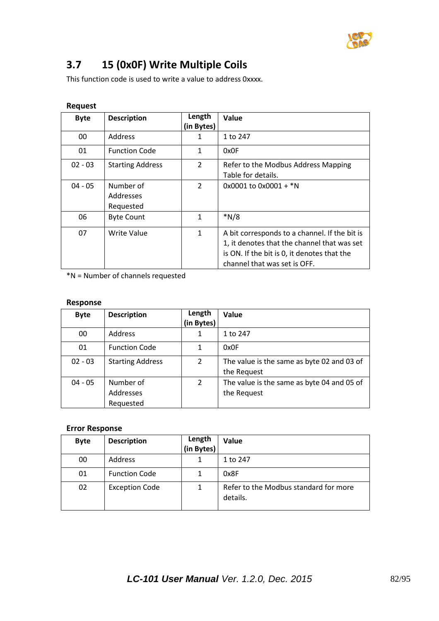

# **3.7 15 (0x0F) Write Multiple Coils**

This function code is used to write a value to address 0xxxx.

## **Request**

| <b>Byte</b> | <b>Description</b>      | Length         | Value                                         |
|-------------|-------------------------|----------------|-----------------------------------------------|
|             |                         | (in Bytes)     |                                               |
| 00          | Address                 |                | 1 to 247                                      |
| 01          | <b>Function Code</b>    | 1              | 0x0F                                          |
| $02 - 03$   | <b>Starting Address</b> | $\overline{2}$ | Refer to the Modbus Address Mapping           |
|             |                         |                | Table for details.                            |
| $04 - 05$   | Number of               | $\overline{2}$ | $0x0001$ to $0x0001 + *N$                     |
|             | Addresses               |                |                                               |
|             | Requested               |                |                                               |
| 06          | <b>Byte Count</b>       | 1              | $*N/8$                                        |
| 07          | Write Value             | 1              | A bit corresponds to a channel. If the bit is |
|             |                         |                | 1, it denotes that the channel that was set   |
|             |                         |                | is ON. If the bit is 0, it denotes that the   |
|             |                         |                | channel that was set is OFF.                  |

\*N = Number of channels requested

### **Response**

| <b>Byte</b> | <b>Description</b>                  | Length<br>(in Bytes) | Value                                                     |
|-------------|-------------------------------------|----------------------|-----------------------------------------------------------|
| 00          | Address                             | 1                    | 1 to 247                                                  |
| 01          | <b>Function Code</b>                |                      | 0x0F                                                      |
| $02 - 03$   | <b>Starting Address</b>             | $\overline{2}$       | The value is the same as byte 02 and 03 of<br>the Request |
| $04 - 05$   | Number of<br>Addresses<br>Requested | $\overline{2}$       | The value is the same as byte 04 and 05 of<br>the Request |

| <b>Byte</b> | <b>Description</b>    | Length<br>(in Bytes) | Value                                             |
|-------------|-----------------------|----------------------|---------------------------------------------------|
| 00          | Address               |                      | 1 to 247                                          |
| 01          | <b>Function Code</b>  |                      | 0x8F                                              |
| 02          | <b>Exception Code</b> | 1                    | Refer to the Modbus standard for more<br>details. |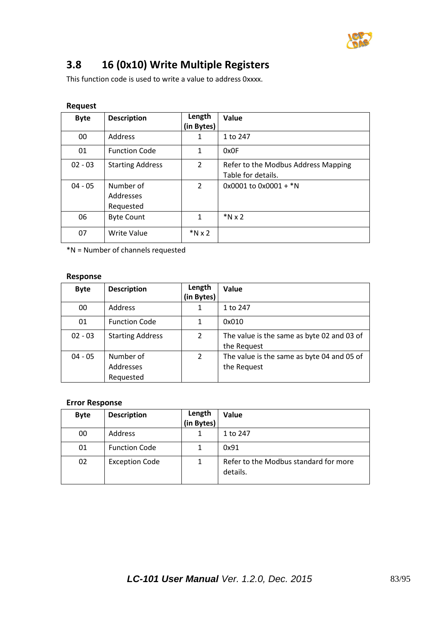

# **3.8 16 (0x10) Write Multiple Registers**

This function code is used to write a value to address 0xxxx.

## **Request**

| <b>Byte</b> | <b>Description</b>                  | Length<br>(in Bytes) | Value                                                     |
|-------------|-------------------------------------|----------------------|-----------------------------------------------------------|
| 00          | Address                             | 1                    | 1 to 247                                                  |
| 01          | <b>Function Code</b>                | 1                    | 0x0F                                                      |
| $02 - 03$   | <b>Starting Address</b>             | $\overline{2}$       | Refer to the Modbus Address Mapping<br>Table for details. |
| $04 - 05$   | Number of<br>Addresses<br>Requested | $\overline{2}$       | $0x0001$ to $0x0001 + *N$                                 |
| 06          | <b>Byte Count</b>                   | 1                    | $*$ N x 2                                                 |
| 07          | <b>Write Value</b>                  | $*$ N x 2            |                                                           |

\*N = Number of channels requested

## **Response**

| <b>Byte</b> | <b>Description</b>                  | Length<br>(in Bytes) | Value                                                     |
|-------------|-------------------------------------|----------------------|-----------------------------------------------------------|
| 00          | Address                             |                      | 1 to 247                                                  |
| 01          | <b>Function Code</b>                |                      | 0x010                                                     |
| $02 - 03$   | <b>Starting Address</b>             | $\overline{2}$       | The value is the same as byte 02 and 03 of<br>the Request |
| $04 - 05$   | Number of<br>Addresses<br>Requested | $\overline{2}$       | The value is the same as byte 04 and 05 of<br>the Request |

| <b>Byte</b> | <b>Description</b>    | Length<br>(in Bytes) | Value                                             |
|-------------|-----------------------|----------------------|---------------------------------------------------|
| 00          | Address               |                      | 1 to 247                                          |
| 01          | <b>Function Code</b>  |                      | 0x91                                              |
| 02          | <b>Exception Code</b> | 1                    | Refer to the Modbus standard for more<br>details. |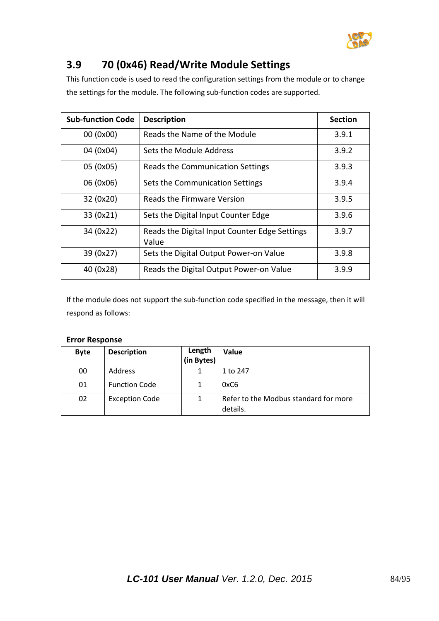

# **3.9 70 (0x46) Read/Write Module Settings**

This function code is used to read the configuration settings from the module or to change the settings for the module. The following sub-function codes are supported.

| <b>Sub-function Code</b> | <b>Description</b>                                     | <b>Section</b> |
|--------------------------|--------------------------------------------------------|----------------|
| 00(0x00)                 | Reads the Name of the Module                           | 3.9.1          |
| 04 (0x04)                | Sets the Module Address                                | 3.9.2          |
| 05 (0x05)                | Reads the Communication Settings                       | 3.9.3          |
| 06 (0x06)                | Sets the Communication Settings                        | 3.9.4          |
| 32 (0x20)                | Reads the Firmware Version                             | 3.9.5          |
| 33 (0x21)                | Sets the Digital Input Counter Edge                    | 3.9.6          |
| 34 (0x22)                | Reads the Digital Input Counter Edge Settings<br>Value | 3.9.7          |
| 39 (0x27)                | Sets the Digital Output Power-on Value                 | 3.9.8          |
| 40 (0x28)                | Reads the Digital Output Power-on Value                | 3.9.9          |

If the module does not support the sub-function code specified in the message, then it will respond as follows:

| <b>Byte</b> | <b>Description</b>    | Length<br>(in Bytes) | Value                                             |
|-------------|-----------------------|----------------------|---------------------------------------------------|
| 00          | Address               |                      | 1 to 247                                          |
| 01          | <b>Function Code</b>  |                      | 0xC6                                              |
| 02          | <b>Exception Code</b> | 1.                   | Refer to the Modbus standard for more<br>details. |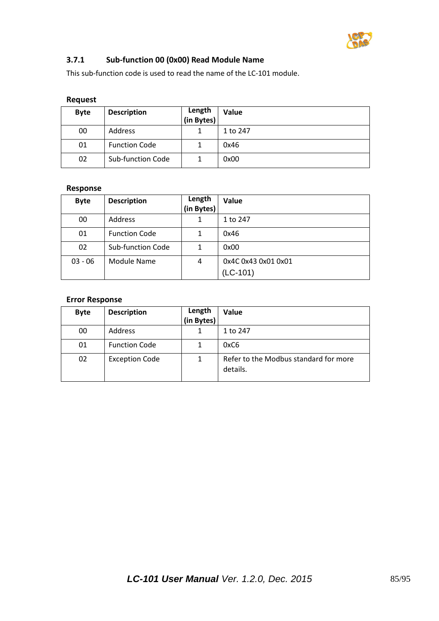

# **3.7.1 Sub-function 00 (0x00) Read Module Name**

This sub-function code is used to read the name of the LC-101 module.

## **Request**

| <b>Byte</b> | <b>Description</b>   | Length     | Value    |
|-------------|----------------------|------------|----------|
|             |                      | (in Bytes) |          |
| 00          | Address              |            | 1 to 247 |
| 01          | <b>Function Code</b> |            | 0x46     |
| 02          | Sub-function Code    |            | 0x00     |

## **Response**

| <b>Byte</b> | <b>Description</b>   | Length<br>(in Bytes) | Value               |
|-------------|----------------------|----------------------|---------------------|
| 00          | Address              |                      | 1 to 247            |
| 01          | <b>Function Code</b> |                      | 0x46                |
| 02          | Sub-function Code    |                      | 0x00                |
| $03 - 06$   | Module Name          | 4                    | 0x4C 0x43 0x01 0x01 |
|             |                      |                      | $(LC-101)$          |

| <b>Byte</b> | <b>Description</b>    | Length<br>(in Bytes) | Value                                             |
|-------------|-----------------------|----------------------|---------------------------------------------------|
| 00          | Address               |                      | 1 to 247                                          |
| 01          | <b>Function Code</b>  |                      | 0xC6                                              |
| 02          | <b>Exception Code</b> | 1                    | Refer to the Modbus standard for more<br>details. |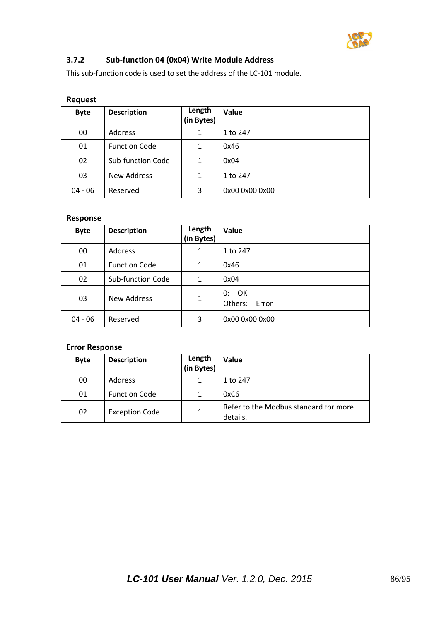

# **3.7.2 Sub-function 04 (0x04) Write Module Address**

This sub-function code is used to set the address of the LC-101 module.

| <b>Byte</b> | <b>Description</b>   | Length<br>(in Bytes) | Value          |
|-------------|----------------------|----------------------|----------------|
| 00          | Address              | 1                    | 1 to 247       |
| 01          | <b>Function Code</b> | 1                    | 0x46           |
| 02          | Sub-function Code    | 1                    | 0x04           |
| 03          | New Address          | 1                    | 1 to 247       |
| $04 - 06$   | Reserved             | 3                    | 0x00 0x00 0x00 |

## **Response**

| <b>Byte</b> | <b>Description</b>       | Length<br>(in Bytes) | Value                  |
|-------------|--------------------------|----------------------|------------------------|
| 00          | Address                  | 1                    | 1 to 247               |
| 01          | <b>Function Code</b>     | 1                    | 0x46                   |
| 02          | <b>Sub-function Code</b> | 1                    | 0x04                   |
| 03          | New Address              | $\mathbf{1}$         | 0: OK<br>Others: Error |
| $04 - 06$   | Reserved                 | 3                    | 0x00 0x00 0x00         |

| <b>Byte</b> | <b>Description</b>    | Length<br>(in Bytes) | Value                                             |
|-------------|-----------------------|----------------------|---------------------------------------------------|
| 00          | <b>Address</b>        |                      | 1 to 247                                          |
| 01          | <b>Function Code</b>  |                      | 0xC6                                              |
| 02          | <b>Exception Code</b> | 1                    | Refer to the Modbus standard for more<br>details. |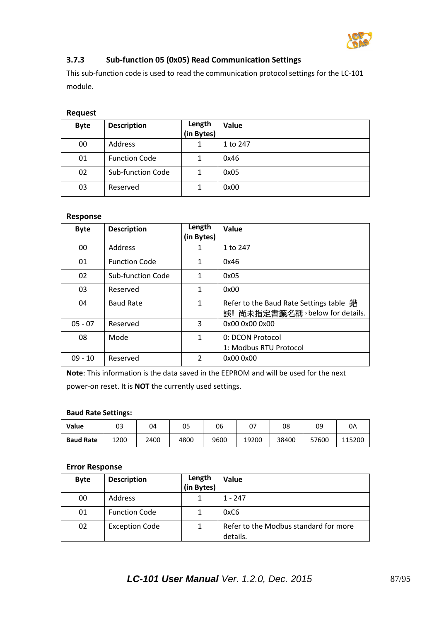

## **3.7.3 Sub-function 05 (0x05) Read Communication Settings**

This sub-function code is used to read the communication protocol settings for the LC-101 module.

#### **Request**

| <b>Byte</b> | <b>Description</b>       | Length     | Value    |
|-------------|--------------------------|------------|----------|
|             |                          | (in Bytes) |          |
| 00          | Address                  | 1          | 1 to 247 |
| 01          | <b>Function Code</b>     | 1          | 0x46     |
| 02          | <b>Sub-function Code</b> | 1          | 0x05     |
| 03          | Reserved                 | 1          | 0x00     |

#### **Response**

| <b>Byte</b> | <b>Description</b>   | Length         | Value                                   |
|-------------|----------------------|----------------|-----------------------------------------|
|             |                      | (in Bytes)     |                                         |
| 00          | Address              | 1              | 1 to 247                                |
| 01          | <b>Function Code</b> | 1              | 0x46                                    |
| 02          | Sub-function Code    | 1              | 0x05                                    |
| 03          | Reserved             | 1              | 0x00                                    |
| 04          | <b>Baud Rate</b>     | 1              | Refer to the Baud Rate Settings table 錯 |
|             |                      |                | 誤! 尚未指定書籤名稱。below for details.          |
| $05 - 07$   | Reserved             | 3              | 0x00 0x00 0x00                          |
| 08          | Mode                 | 1              | 0: DCON Protocol                        |
|             |                      |                | 1: Modbus RTU Protocol                  |
| $09 - 10$   | Reserved             | $\overline{2}$ | 0x00 0x00                               |

**Note**: This information is the data saved in the EEPROM and will be used for the next power-on reset. It is **NOT** the currently used settings.

#### **Baud Rate Settings:**

| Value            | 03   | 04   | 05   | 06   | 07    | 08    | 09    | 0Α     |
|------------------|------|------|------|------|-------|-------|-------|--------|
| <b>Baud Rate</b> | 1200 | 2400 | 4800 | 9600 | 19200 | 38400 | 57600 | 115200 |

| <b>Byte</b> | <b>Description</b>    | Length<br>(in Bytes) | Value                                 |
|-------------|-----------------------|----------------------|---------------------------------------|
| 00          | Address               |                      | $1 - 247$                             |
| 01          | <b>Function Code</b>  |                      | 0xC6                                  |
| 02          | <b>Exception Code</b> |                      | Refer to the Modbus standard for more |
|             |                       |                      | details.                              |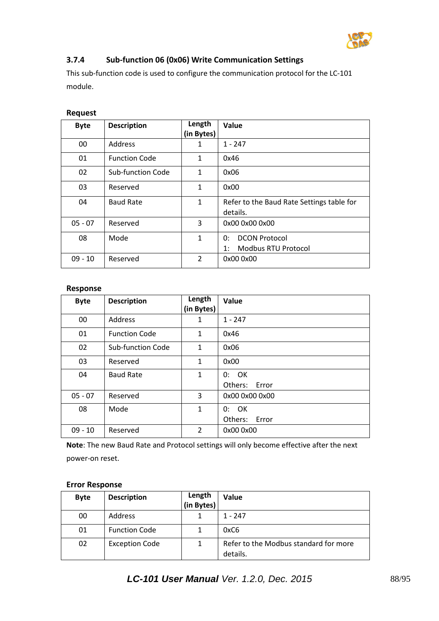

## **3.7.4 Sub-function 06 (0x06) Write Communication Settings**

This sub-function code is used to configure the communication protocol for the LC-101 module.

#### **Request**

| <b>Byte</b> | <b>Description</b>   | Length         | Value                                     |
|-------------|----------------------|----------------|-------------------------------------------|
|             |                      | (in Bytes)     |                                           |
| 00          | Address              | 1              | $1 - 247$                                 |
| 01          | <b>Function Code</b> | 1              | 0x46                                      |
| 02          | Sub-function Code    | 1              | 0x06                                      |
| 03          | Reserved             | $\mathbf{1}$   | 0x00                                      |
| 04          | <b>Baud Rate</b>     | $\mathbf{1}$   | Refer to the Baud Rate Settings table for |
|             |                      |                | details.                                  |
| $05 - 07$   | Reserved             | 3              | 0x00 0x00 0x00                            |
| 08          | Mode                 | $\mathbf{1}$   | <b>DCON Protocol</b><br>0:                |
|             |                      |                | <b>Modbus RTU Protocol</b><br>1:          |
| $09 - 10$   | Reserved             | $\overline{2}$ | 0x00 0x00                                 |

#### **Response**

| <b>Byte</b> | <b>Description</b>       | Length<br>(in Bytes) | Value            |
|-------------|--------------------------|----------------------|------------------|
| 00          | Address                  | 1                    | $1 - 247$        |
| 01          | <b>Function Code</b>     | 1                    | 0x46             |
| 02          | <b>Sub-function Code</b> | $\mathbf{1}$         | 0x06             |
| 03          | Reserved                 | $\mathbf{1}$         | 0x00             |
| 04          | <b>Baud Rate</b>         | $\mathbf{1}$         | 0: OK            |
|             |                          |                      | Others:<br>Error |
| $05 - 07$   | Reserved                 | 3                    | 0x00 0x00 0x00   |
| 08          | Mode                     | $\mathbf{1}$         | $0:$ OK          |
|             |                          |                      | Others: Error    |
| $09 - 10$   | Reserved                 | $\overline{2}$       | 0x00 0x00        |

**Note**: The new Baud Rate and Protocol settings will only become effective after the next power-on reset.

| <b>Byte</b> | <b>Description</b>    | Length<br>(in Bytes) | Value                                             |
|-------------|-----------------------|----------------------|---------------------------------------------------|
| 00          | Address               |                      | $1 - 247$                                         |
| 01          | <b>Function Code</b>  |                      | 0xC6                                              |
| 02          | <b>Exception Code</b> |                      | Refer to the Modbus standard for more<br>details. |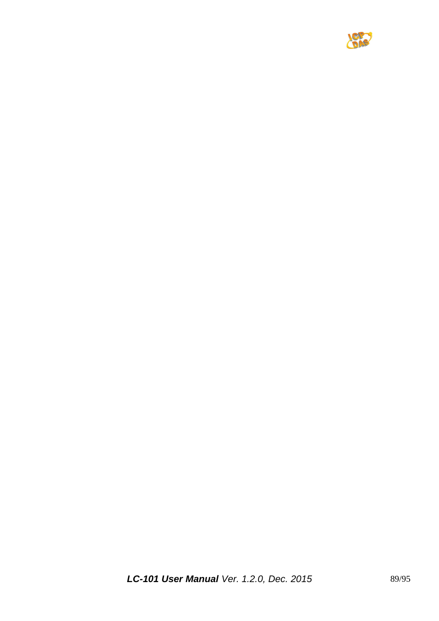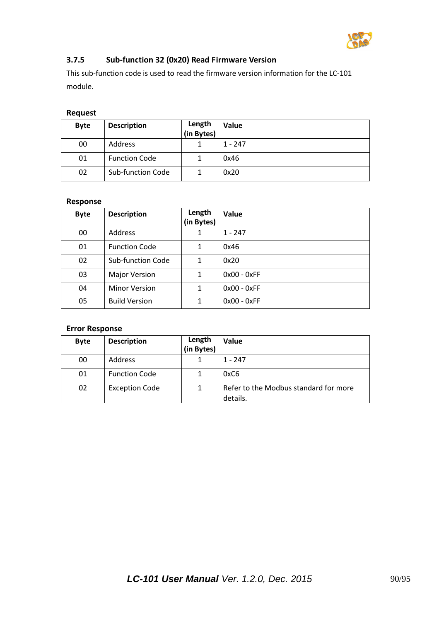

# **3.7.5 Sub-function 32 (0x20) Read Firmware Version**

This sub-function code is used to read the firmware version information for the LC-101 module.

#### **Request**

| <b>Byte</b> | <b>Description</b>   | Length     | Value     |
|-------------|----------------------|------------|-----------|
|             |                      | (in Bytes) |           |
| 00          | <b>Address</b>       |            | $1 - 247$ |
| 01          | <b>Function Code</b> | 1          | 0x46      |
| 02          | Sub-function Code    |            | 0x20      |

#### **Response**

| <b>Byte</b> | <b>Description</b>   | Length<br>(in Bytes) | Value         |
|-------------|----------------------|----------------------|---------------|
| 00          | Address              | 1                    | $1 - 247$     |
| 01          | <b>Function Code</b> | 1                    | 0x46          |
| 02          | Sub-function Code    | 1                    | 0x20          |
| 03          | <b>Major Version</b> | 1                    | $0x00 - 0xFF$ |
| 04          | <b>Minor Version</b> | 1                    | $0x00 - 0xFF$ |
| 05          | <b>Build Version</b> | 1                    | $0x00 - 0xFF$ |

| <b>Byte</b> | <b>Description</b>    | Length<br>(in Bytes) | Value                                 |
|-------------|-----------------------|----------------------|---------------------------------------|
| 00          | Address               |                      | $1 - 247$                             |
| 01          | <b>Function Code</b>  |                      | 0xC6                                  |
| 02          | <b>Exception Code</b> |                      | Refer to the Modbus standard for more |
|             |                       |                      | details.                              |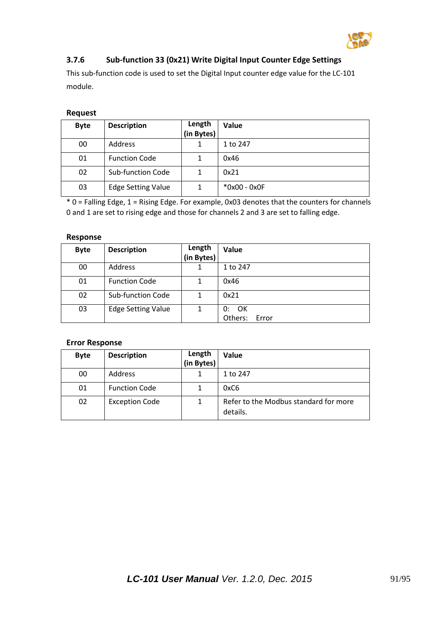

## **3.7.6 Sub-function 33 (0x21) Write Digital Input Counter Edge Settings**

This sub-function code is used to set the Digital Input counter edge value for the LC-101 module.

#### **Request**

| <b>Byte</b> | <b>Description</b>        | Length     | Value        |
|-------------|---------------------------|------------|--------------|
|             |                           | (in Bytes) |              |
| 00          | Address                   |            | 1 to 247     |
| 01          | <b>Function Code</b>      | 1          | 0x46         |
| 02          | Sub-function Code         | 1          | 0x21         |
| 03          | <b>Edge Setting Value</b> |            | *0x00 - 0x0F |

\* 0 = Falling Edge, 1 = Rising Edge. For example, 0x03 denotes that the counters for channels 0 and 1 are set to rising edge and those for channels 2 and 3 are set to falling edge.

#### **Response**

| <b>Byte</b> | <b>Description</b>        | Length     | Value         |
|-------------|---------------------------|------------|---------------|
|             |                           | (in Bytes) |               |
| 00          | Address                   |            | 1 to 247      |
| 01          | <b>Function Code</b>      | 1          | 0x46          |
| 02          | Sub-function Code         | 1          | 0x21          |
| 03          | <b>Edge Setting Value</b> |            | 0: OK         |
|             |                           |            | Others: Error |

| <b>Byte</b> | <b>Description</b>    | Length     | Value                                             |
|-------------|-----------------------|------------|---------------------------------------------------|
|             |                       | (in Bytes) |                                                   |
| 00          | Address               |            | 1 to 247                                          |
| 01          | <b>Function Code</b>  |            | 0xC6                                              |
| 02          | <b>Exception Code</b> |            | Refer to the Modbus standard for more<br>details. |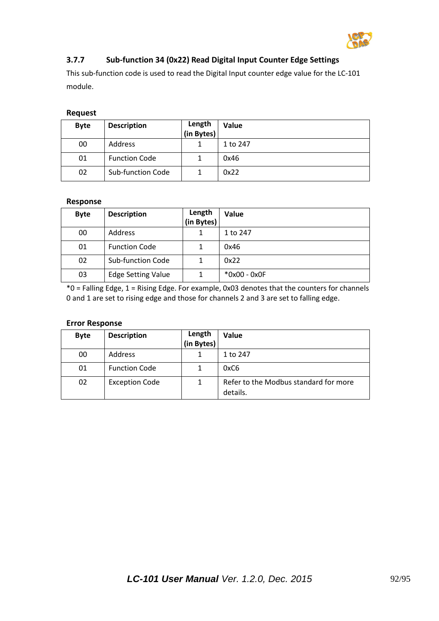

## **3.7.7 Sub-function 34 (0x22) Read Digital Input Counter Edge Settings**

This sub-function code is used to read the Digital Input counter edge value for the LC-101 module.

#### **Request**

| <b>Byte</b> | <b>Description</b>   | Length     | Value    |
|-------------|----------------------|------------|----------|
|             |                      | (in Bytes) |          |
| 00          | Address              |            | 1 to 247 |
| 01          | <b>Function Code</b> |            | 0x46     |
| 02          | Sub-function Code    |            | 0x22     |

#### **Response**

| <b>Byte</b> | <b>Description</b>        | Length<br>(in Bytes) | Value        |
|-------------|---------------------------|----------------------|--------------|
| 00          | Address                   |                      | 1 to 247     |
| 01          | <b>Function Code</b>      | 1                    | 0x46         |
| 02          | Sub-function Code         |                      | 0x22         |
| 03          | <b>Edge Setting Value</b> |                      | *0x00 - 0x0F |

\*0 = Falling Edge, 1 = Rising Edge. For example, 0x03 denotes that the counters for channels 0 and 1 are set to rising edge and those for channels 2 and 3 are set to falling edge.

| <b>Byte</b> | <b>Description</b>    | Length<br>(in Bytes) | Value                                             |
|-------------|-----------------------|----------------------|---------------------------------------------------|
| 00          | Address               |                      | 1 to 247                                          |
| 01          | <b>Function Code</b>  |                      | 0xC6                                              |
| 02          | <b>Exception Code</b> |                      | Refer to the Modbus standard for more<br>details. |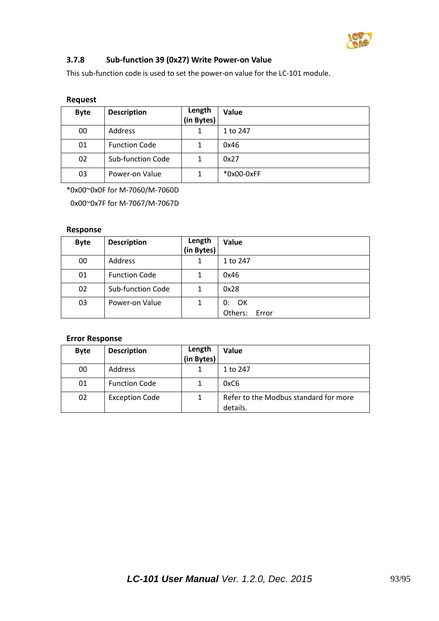

## **3.7.8 Sub-function 39 (0x27) Write Power-on Value**

This sub-function code is used to set the power-on value for the LC-101 module.

#### **Request**

| <b>Byte</b> | <b>Description</b>   | Length     | Value      |
|-------------|----------------------|------------|------------|
|             |                      | (in Bytes) |            |
| 00          | Address              | 1          | 1 to 247   |
| 01          | <b>Function Code</b> | 1          | 0x46       |
| 02          | Sub-function Code    | 1          | 0x27       |
| 03          | Power-on Value       | 1          | *0x00-0xFF |

\*0x00~0x0F for M-7060/M-7060D

0x00~0x7F for M-7067/M-7067D

#### **Response**

| <b>Byte</b> | <b>Description</b>   | Length     | Value            |
|-------------|----------------------|------------|------------------|
|             |                      | (in Bytes) |                  |
| 00          | Address              | 1          | 1 to 247         |
| 01          | <b>Function Code</b> | 1          | 0x46             |
| 02          | Sub-function Code    | 1          | 0x28             |
| 03          | Power-on Value       | 1          | 0: OK            |
|             |                      |            | Others:<br>Error |

| <b>Byte</b> | <b>Description</b>    | Length<br>(in Bytes) | Value                                             |
|-------------|-----------------------|----------------------|---------------------------------------------------|
| 00          | Address               |                      | 1 to 247                                          |
| 01          | <b>Function Code</b>  |                      | 0xC6                                              |
| 02          | <b>Exception Code</b> |                      | Refer to the Modbus standard for more<br>details. |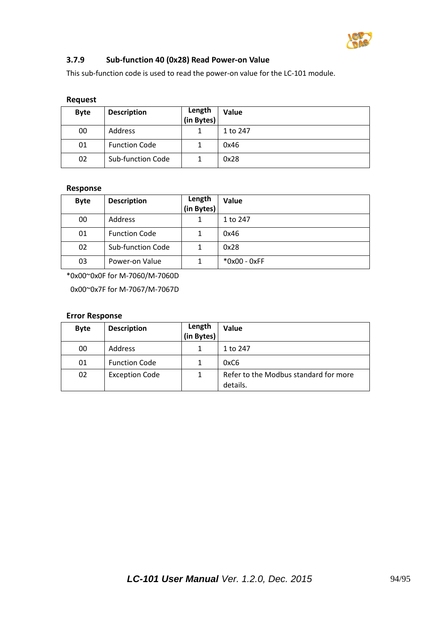

## **3.7.9 Sub-function 40 (0x28) Read Power-on Value**

This sub-function code is used to read the power-on value for the LC-101 module.

#### **Request**

| <b>Byte</b> | <b>Description</b>   | Length     | Value    |
|-------------|----------------------|------------|----------|
|             |                      | (in Bytes) |          |
| 00          | Address              |            | 1 to 247 |
| 01          | <b>Function Code</b> |            | 0x46     |
| 02          | Sub-function Code    |            | 0x28     |

### **Response**

| <b>Byte</b> | <b>Description</b>   | Length     | Value        |
|-------------|----------------------|------------|--------------|
|             |                      | (in Bytes) |              |
| 00          | Address              |            | 1 to 247     |
| 01          | <b>Function Code</b> | 1          | 0x46         |
| 02          | Sub-function Code    | 1          | 0x28         |
| 03          | Power-on Value       | 1          | *0x00 - 0xFF |

\*0x00~0x0F for M-7060/M-7060D

0x00~0x7F for M-7067/M-7067D

| <b>Byte</b> | <b>Description</b>    | Length<br>(in Bytes) | Value                                 |
|-------------|-----------------------|----------------------|---------------------------------------|
| 00          | Address               |                      | 1 to 247                              |
| 01          | <b>Function Code</b>  |                      | 0xC6                                  |
| 02          | <b>Exception Code</b> | 1                    | Refer to the Modbus standard for more |
|             |                       |                      | details.                              |